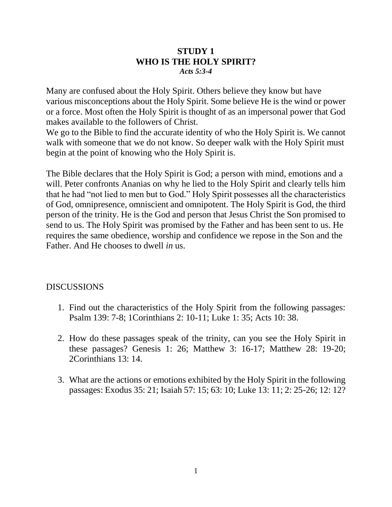#### **STUDY 1 WHO IS THE HOLY SPIRIT?** *Acts 5:3-4*

Many are confused about the Holy Spirit. Others believe they know but have various misconceptions about the Holy Spirit. Some believe He is the wind or power or a force. Most often the Holy Spirit is thought of as an impersonal power that God makes available to the followers of Christ.

We go to the Bible to find the accurate identity of who the Holy Spirit is. We cannot walk with someone that we do not know. So deeper walk with the Holy Spirit must begin at the point of knowing who the Holy Spirit is.

The Bible declares that the Holy Spirit is God; a person with mind, emotions and a will. Peter confronts Ananias on why he lied to the Holy Spirit and clearly tells him that he had "not lied to men but to God." Holy Spirit possesses all the characteristics of God, omnipresence, omniscient and omnipotent. The Holy Spirit is God, the third person of the trinity. He is the God and person that Jesus Christ the Son promised to send to us. The Holy Spirit was promised by the Father and has been sent to us. He requires the same obedience, worship and confidence we repose in the Son and the Father. And He chooses to dwell *in* us.

- 1. Find out the characteristics of the Holy Spirit from the following passages: Psalm 139: 7-8; 1Corinthians 2: 10-11; Luke 1: 35; Acts 10: 38.
- 2. How do these passages speak of the trinity, can you see the Holy Spirit in these passages? Genesis 1: 26; Matthew 3: 16-17; Matthew 28: 19-20; 2Corinthians 13: 14.
- 3. What are the actions or emotions exhibited by the Holy Spirit in the following passages: Exodus 35: 21; Isaiah 57: 15; 63: 10; Luke 13: 11; 2: 25-26; 12: 12?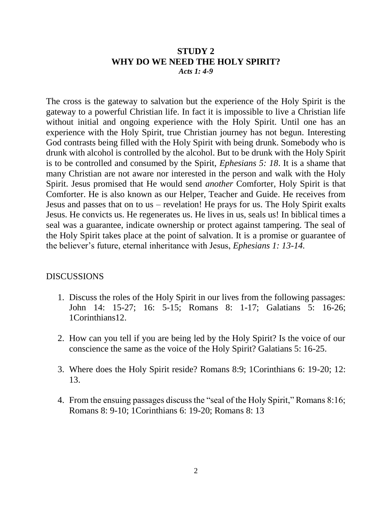#### **STUDY 2 WHY DO WE NEED THE HOLY SPIRIT?** *Acts 1: 4-9*

The cross is the gateway to salvation but the experience of the Holy Spirit is the gateway to a powerful Christian life. In fact it is impossible to live a Christian life without initial and ongoing experience with the Holy Spirit. Until one has an experience with the Holy Spirit, true Christian journey has not begun. Interesting God contrasts being filled with the Holy Spirit with being drunk. Somebody who is drunk with alcohol is controlled by the alcohol. But to be drunk with the Holy Spirit is to be controlled and consumed by the Spirit, *Ephesians 5: 18*. It is a shame that many Christian are not aware nor interested in the person and walk with the Holy Spirit. Jesus promised that He would send *another* Comforter, Holy Spirit is that Comforter. He is also known as our Helper, Teacher and Guide. He receives from Jesus and passes that on to us – revelation! He prays for us. The Holy Spirit exalts Jesus. He convicts us. He regenerates us. He lives in us, seals us! In biblical times a seal was a guarantee, indicate ownership or protect against tampering. The seal of the Holy Spirit takes place at the point of salvation. It is a promise or guarantee of the believer's future, eternal inheritance with Jesus, *Ephesians 1: 13-14.*

- 1. Discuss the roles of the Holy Spirit in our lives from the following passages: John 14: 15-27; 16: 5-15; Romans 8: 1-17; Galatians 5: 16-26; 1Corinthians12.
- 2. How can you tell if you are being led by the Holy Spirit? Is the voice of our conscience the same as the voice of the Holy Spirit? Galatians 5: 16-25.
- 3. Where does the Holy Spirit reside? Romans 8:9; 1Corinthians 6: 19-20; 12: 13.
- 4. From the ensuing passages discuss the "seal of the Holy Spirit," Romans 8:16; Romans 8: 9-10; 1Corinthians 6: 19-20; Romans 8: 13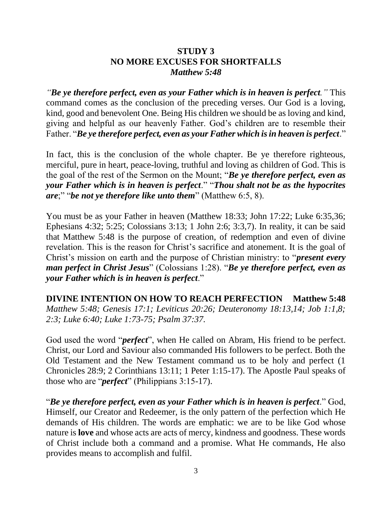### **STUDY 3 NO MORE EXCUSES FOR SHORTFALLS** *Matthew 5:48*

*"Be ye therefore perfect, even as your Father which is in heaven is perfect."* This command comes as the conclusion of the preceding verses. Our God is a loving, kind, good and benevolent One. Being His children we should be as loving and kind, giving and helpful as our heavenly Father. God's children are to resemble their Father. "*Be ye therefore perfect, even as your Father which is in heaven is perfect*."

In fact, this is the conclusion of the whole chapter. Be ye therefore righteous, merciful, pure in heart, peace-loving, truthful and loving as children of God. This is the goal of the rest of the Sermon on the Mount; "*Be ye therefore perfect, even as your Father which is in heaven is perfect*." "*Thou shalt not be as the hypocrites are*;" "*be not ye therefore like unto them*" (Matthew 6:5, 8).

You must be as your Father in heaven (Matthew 18:33; John 17:22; Luke 6:35,36; Ephesians 4:32; 5:25; Colossians 3:13; 1 John 2:6; 3:3,7). In reality, it can be said that Matthew 5:48 is the purpose of creation, of redemption and even of divine revelation. This is the reason for Christ's sacrifice and atonement. It is the goal of Christ's mission on earth and the purpose of Christian ministry: to "*present every man perfect in Christ Jesus*" (Colossians 1:28). "*Be ye therefore perfect, even as your Father which is in heaven is perfect*."

**DIVINE INTENTION ON HOW TO REACH PERFECTION Matthew 5:48** *Matthew 5:48; Genesis 17:1; Leviticus 20:26; Deuteronomy 18:13,14; Job 1:1,8; 2:3; Luke 6:40; Luke 1:73-75; Psalm 37:37.*

God used the word "*perfect*", when He called on Abram, His friend to be perfect. Christ, our Lord and Saviour also commanded His followers to be perfect. Both the Old Testament and the New Testament command us to be holy and perfect (1 Chronicles 28:9; 2 Corinthians 13:11; 1 Peter 1:15-17). The Apostle Paul speaks of those who are "*perfect*" (Philippians 3:15-17).

"*Be ye therefore perfect, even as your Father which is in heaven is perfect*." God, Himself, our Creator and Redeemer, is the only pattern of the perfection which He demands of His children. The words are emphatic: we are to be like God whose nature is **love** and whose acts are acts of mercy, kindness and goodness. These words of Christ include both a command and a promise. What He commands, He also provides means to accomplish and fulfil.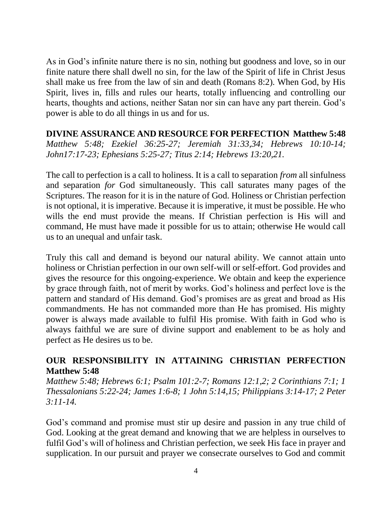As in God's infinite nature there is no sin, nothing but goodness and love, so in our finite nature there shall dwell no sin, for the law of the Spirit of life in Christ Jesus shall make us free from the law of sin and death (Romans 8:2). When God, by His Spirit, lives in, fills and rules our hearts, totally influencing and controlling our hearts, thoughts and actions, neither Satan nor sin can have any part therein. God's power is able to do all things in us and for us.

**DIVINE ASSURANCE AND RESOURCE FOR PERFECTION Matthew 5:48** *Matthew 5:48; Ezekiel 36:25-27; Jeremiah 31:33,34; Hebrews 10:10-14; John17:17-23; Ephesians 5:25-27; Titus 2:14; Hebrews 13:20,21.*

The call to perfection is a call to holiness. It is a call to separation *from* all sinfulness and separation *for* God simultaneously. This call saturates many pages of the Scriptures. The reason for it is in the nature of God. Holiness or Christian perfection is not optional, it is imperative. Because it is imperative, it must be possible. He who wills the end must provide the means. If Christian perfection is His will and command, He must have made it possible for us to attain; otherwise He would call us to an unequal and unfair task.

Truly this call and demand is beyond our natural ability. We cannot attain unto holiness or Christian perfection in our own self-will or self-effort. God provides and gives the resource for this ongoing-experience. We obtain and keep the experience by grace through faith, not of merit by works. God's holiness and perfect love is the pattern and standard of His demand. God's promises are as great and broad as His commandments. He has not commanded more than He has promised. His mighty power is always made available to fulfil His promise. With faith in God who is always faithful we are sure of divine support and enablement to be as holy and perfect as He desires us to be.

### **OUR RESPONSIBILITY IN ATTAINING CHRISTIAN PERFECTION Matthew 5:48**

*Matthew 5:48; Hebrews 6:1; Psalm 101:2-7; Romans 12:1,2; 2 Corinthians 7:1; 1 Thessalonians 5:22-24; James 1:6-8; 1 John 5:14,15; Philippians 3:14-17; 2 Peter 3:11-14.*

God's command and promise must stir up desire and passion in any true child of God. Looking at the great demand and knowing that we are helpless in ourselves to fulfil God's will of holiness and Christian perfection, we seek His face in prayer and supplication. In our pursuit and prayer we consecrate ourselves to God and commit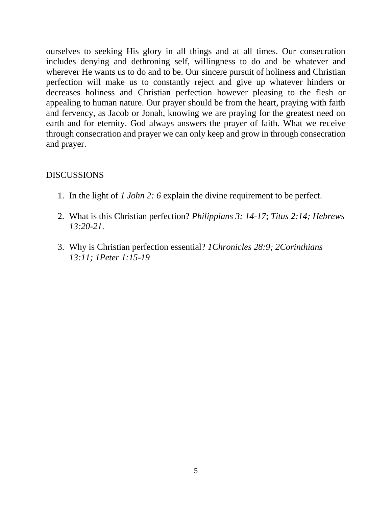ourselves to seeking His glory in all things and at all times. Our consecration includes denying and dethroning self, willingness to do and be whatever and wherever He wants us to do and to be. Our sincere pursuit of holiness and Christian perfection will make us to constantly reject and give up whatever hinders or decreases holiness and Christian perfection however pleasing to the flesh or appealing to human nature. Our prayer should be from the heart, praying with faith and fervency, as Jacob or Jonah, knowing we are praying for the greatest need on earth and for eternity. God always answers the prayer of faith. What we receive through consecration and prayer we can only keep and grow in through consecration and prayer.

- 1. In the light of *1 John 2: 6* explain the divine requirement to be perfect.
- 2. What is this Christian perfection? *Philippians 3: 14-17*; *Titus 2:14; Hebrews 13:20-21*.
- 3. Why is Christian perfection essential? *1Chronicles 28:9; 2Corinthians 13:11; 1Peter 1:15-19*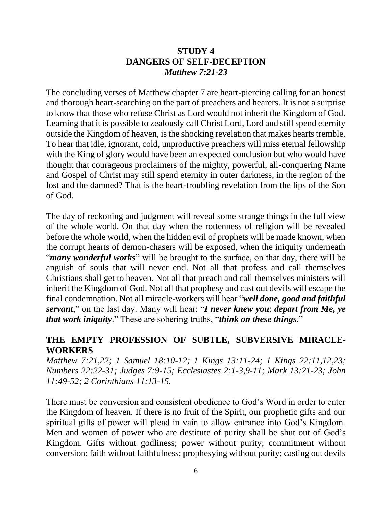### **STUDY 4 DANGERS OF SELF-DECEPTION** *Matthew 7:21-23*

The concluding verses of Matthew chapter 7 are heart-piercing calling for an honest and thorough heart-searching on the part of preachers and hearers. It is not a surprise to know that those who refuse Christ as Lord would not inherit the Kingdom of God. Learning that it is possible to zealously call Christ Lord, Lord and still spend eternity outside the Kingdom of heaven, is the shocking revelation that makes hearts tremble. To hear that idle, ignorant, cold, unproductive preachers will miss eternal fellowship with the King of glory would have been an expected conclusion but who would have thought that courageous proclaimers of the mighty, powerful, all-conquering Name and Gospel of Christ may still spend eternity in outer darkness, in the region of the lost and the damned? That is the heart-troubling revelation from the lips of the Son of God.

The day of reckoning and judgment will reveal some strange things in the full view of the whole world. On that day when the rottenness of religion will be revealed before the whole world, when the hidden evil of prophets will be made known, when the corrupt hearts of demon-chasers will be exposed, when the iniquity underneath "*many wonderful works*" will be brought to the surface, on that day, there will be anguish of souls that will never end. Not all that profess and call themselves Christians shall get to heaven. Not all that preach and call themselves ministers will inherit the Kingdom of God. Not all that prophesy and cast out devils will escape the final condemnation. Not all miracle-workers will hear "*well done, good and faithful servant*," on the last day. Many will hear: "*I never knew you*: *depart from Me, ye that work iniquity*." These are sobering truths, "*think on these things*."

### **THE EMPTY PROFESSION OF SUBTLE, SUBVERSIVE MIRACLE-WORKERS**

*Matthew 7:21,22; 1 Samuel 18:10-12; 1 Kings 13:11-24; 1 Kings 22:11,12,23; Numbers 22:22-31; Judges 7:9-15; Ecclesiastes 2:1-3,9-11; Mark 13:21-23; John 11:49-52; 2 Corinthians 11:13-15.*

There must be conversion and consistent obedience to God's Word in order to enter the Kingdom of heaven. If there is no fruit of the Spirit, our prophetic gifts and our spiritual gifts of power will plead in vain to allow entrance into God's Kingdom. Men and women of power who are destitute of purity shall be shut out of God's Kingdom. Gifts without godliness; power without purity; commitment without conversion; faith without faithfulness; prophesying without purity; casting out devils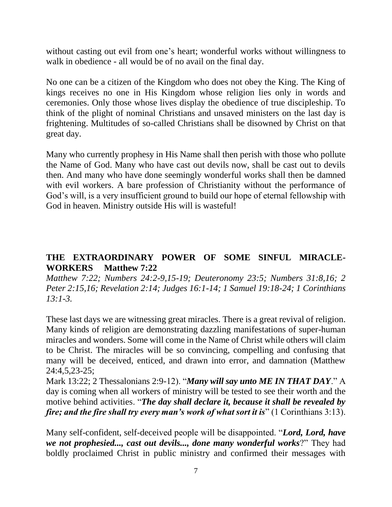without casting out evil from one's heart; wonderful works without willingness to walk in obedience - all would be of no avail on the final day.

No one can be a citizen of the Kingdom who does not obey the King. The King of kings receives no one in His Kingdom whose religion lies only in words and ceremonies. Only those whose lives display the obedience of true discipleship. To think of the plight of nominal Christians and unsaved ministers on the last day is frightening. Multitudes of so-called Christians shall be disowned by Christ on that great day.

Many who currently prophesy in His Name shall then perish with those who pollute the Name of God. Many who have cast out devils now, shall be cast out to devils then. And many who have done seemingly wonderful works shall then be damned with evil workers. A bare profession of Christianity without the performance of God's will, is a very insufficient ground to build our hope of eternal fellowship with God in heaven. Ministry outside His will is wasteful!

### **THE EXTRAORDINARY POWER OF SOME SINFUL MIRACLE-WORKERS Matthew 7:22**

*Matthew 7:22; Numbers 24:2-9,15-19; Deuteronomy 23:5; Numbers 31:8,16; 2 Peter 2:15,16; Revelation 2:14; Judges 16:1-14; 1 Samuel 19:18-24; 1 Corinthians 13:1-3.*

These last days we are witnessing great miracles. There is a great revival of religion. Many kinds of religion are demonstrating dazzling manifestations of super-human miracles and wonders. Some will come in the Name of Christ while others will claim to be Christ. The miracles will be so convincing, compelling and confusing that many will be deceived, enticed, and drawn into error, and damnation (Matthew 24:4,5,23-25;

Mark 13:22; 2 Thessalonians 2:9-12). "*Many will say unto ME IN THAT DAY*." A day is coming when all workers of ministry will be tested to see their worth and the motive behind activities. "*The day shall declare it, because it shall be revealed by fire; and the fire shall try every man's work of what sort it is*" (1 Corinthians 3:13).

Many self-confident, self-deceived people will be disappointed. "*Lord, Lord, have we not prophesied..., cast out devils..., done many wonderful works*?" They had boldly proclaimed Christ in public ministry and confirmed their messages with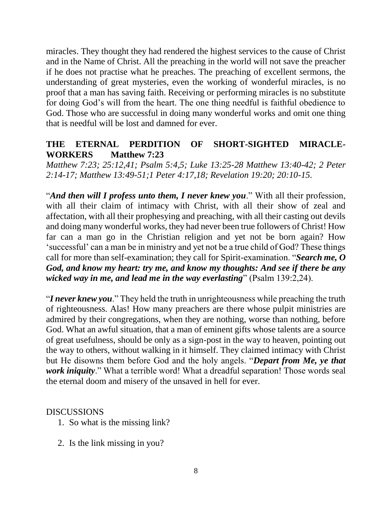miracles. They thought they had rendered the highest services to the cause of Christ and in the Name of Christ. All the preaching in the world will not save the preacher if he does not practise what he preaches. The preaching of excellent sermons, the understanding of great mysteries, even the working of wonderful miracles, is no proof that a man has saving faith. Receiving or performing miracles is no substitute for doing God's will from the heart. The one thing needful is faithful obedience to God. Those who are successful in doing many wonderful works and omit one thing that is needful will be lost and damned for ever.

### **THE ETERNAL PERDITION OF SHORT-SIGHTED MIRACLE-WORKERS Matthew 7:23**

*Matthew 7:23; 25:12,41; Psalm 5:4,5; Luke 13:25-28 Matthew 13:40-42; 2 Peter 2:14-17; Matthew 13:49-51;1 Peter 4:17,18; Revelation 19:20; 20:10-15.* 

"*And then will I profess unto them, I never knew you*." With all their profession, with all their claim of intimacy with Christ, with all their show of zeal and affectation, with all their prophesying and preaching, with all their casting out devils and doing many wonderful works, they had never been true followers of Christ! How far can a man go in the Christian religion and yet not be born again? How 'successful' can a man be in ministry and yet not be a true child of God? These things call for more than self-examination; they call for Spirit-examination. "*Search me, O God, and know my heart: try me, and know my thoughts: And see if there be any wicked way in me, and lead me in the way everlasting*" (Psalm 139:2,24).

"*I never knew you*." They held the truth in unrighteousness while preaching the truth of righteousness. Alas! How many preachers are there whose pulpit ministries are admired by their congregations, when they are nothing, worse than nothing, before God. What an awful situation, that a man of eminent gifts whose talents are a source of great usefulness, should be only as a sign-post in the way to heaven, pointing out the way to others, without walking in it himself. They claimed intimacy with Christ but He disowns them before God and the holy angels. "*Depart from Me, ye that work iniquity*." What a terrible word! What a dreadful separation! Those words seal the eternal doom and misery of the unsaved in hell for ever.

- 1. So what is the missing link?
- 2. Is the link missing in you?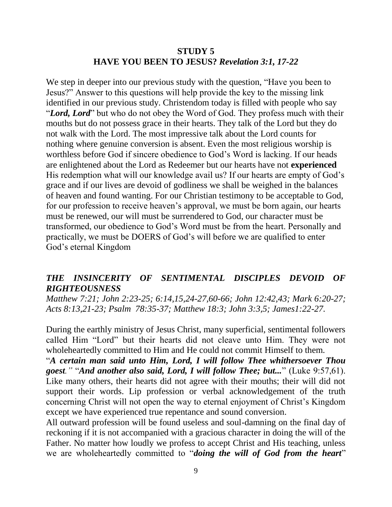### **STUDY 5 HAVE YOU BEEN TO JESUS?** *Revelation 3:1, 17-22*

We step in deeper into our previous study with the question, "Have you been to Jesus?" Answer to this questions will help provide the key to the missing link identified in our previous study. Christendom today is filled with people who say "*Lord, Lord*" but who do not obey the Word of God. They profess much with their mouths but do not possess grace in their hearts. They talk of the Lord but they do not walk with the Lord. The most impressive talk about the Lord counts for nothing where genuine conversion is absent. Even the most religious worship is worthless before God if sincere obedience to God's Word is lacking. If our heads are enlightened about the Lord as Redeemer but our hearts have not **experienced** His redemption what will our knowledge avail us? If our hearts are empty of God's grace and if our lives are devoid of godliness we shall be weighed in the balances of heaven and found wanting. For our Christian testimony to be acceptable to God, for our profession to receive heaven's approval, we must be born again, our hearts must be renewed, our will must be surrendered to God, our character must be transformed, our obedience to God's Word must be from the heart. Personally and practically, we must be DOERS of God's will before we are qualified to enter God's eternal Kingdom

### *THE INSINCERITY OF SENTIMENTAL DISCIPLES DEVOID OF RIGHTEOUSNESS*

*Matthew 7:21; John 2:23-25; 6:14,15,24-27,60-66; John 12:42,43; Mark 6:20-27; Acts 8:13,21-23; Psalm 78:35-37; Matthew 18:3; John 3:3,5; James1:22-27.*

During the earthly ministry of Jesus Christ, many superficial, sentimental followers called Him "Lord" but their hearts did not cleave unto Him. They were not wholeheartedly committed to Him and He could not commit Himself to them.

"*A certain man said unto Him, Lord, I will follow Thee whithersoever Thou goest."* "*And another also said, Lord, I will follow Thee; but...*" (Luke 9:57,61). Like many others, their hearts did not agree with their mouths; their will did not support their words. Lip profession or verbal acknowledgement of the truth concerning Christ will not open the way to eternal enjoyment of Christ's Kingdom except we have experienced true repentance and sound conversion.

All outward profession will be found useless and soul-damning on the final day of reckoning if it is not accompanied with a gracious character in doing the will of the Father. No matter how loudly we profess to accept Christ and His teaching, unless we are wholeheartedly committed to "*doing the will of God from the heart*"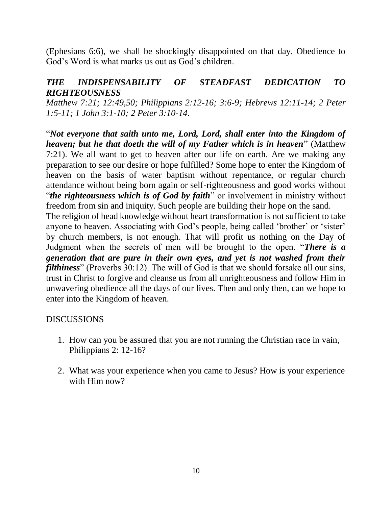(Ephesians 6:6), we shall be shockingly disappointed on that day. Obedience to God's Word is what marks us out as God's children.

### *THE INDISPENSABILITY OF STEADFAST DEDICATION TO RIGHTEOUSNESS*

*Matthew 7:21; 12:49,50; Philippians 2:12-16; 3:6-9; Hebrews 12:11-14; 2 Peter 1:5-11; 1 John 3:1-10; 2 Peter 3:10-14.*

"*Not everyone that saith unto me, Lord, Lord, shall enter into the Kingdom of heaven; but he that doeth the will of my Father which is in heaven*" (Matthew 7:21). We all want to get to heaven after our life on earth. Are we making any preparation to see our desire or hope fulfilled? Some hope to enter the Kingdom of heaven on the basis of water baptism without repentance, or regular church attendance without being born again or self-righteousness and good works without "*the righteousness which is of God by faith*" or involvement in ministry without freedom from sin and iniquity. Such people are building their hope on the sand.

The religion of head knowledge without heart transformation is not sufficient to take anyone to heaven. Associating with God's people, being called 'brother' or 'sister' by church members, is not enough. That will profit us nothing on the Day of Judgment when the secrets of men will be brought to the open. "*There is a generation that are pure in their own eyes, and yet is not washed from their filthiness*" (Proverbs 30:12). The will of God is that we should forsake all our sins, trust in Christ to forgive and cleanse us from all unrighteousness and follow Him in unwavering obedience all the days of our lives. Then and only then, can we hope to enter into the Kingdom of heaven.

- 1. How can you be assured that you are not running the Christian race in vain, Philippians 2: 12-16?
- 2. What was your experience when you came to Jesus? How is your experience with Him now?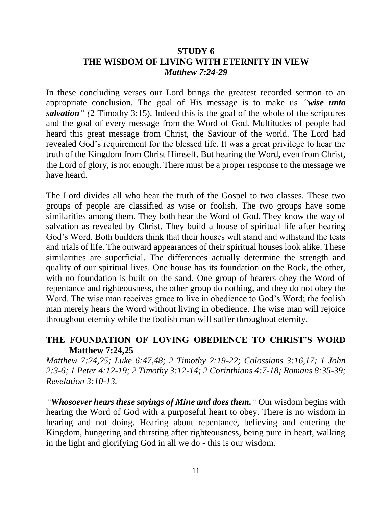### **STUDY 6 THE WISDOM OF LIVING WITH ETERNITY IN VIEW** *Matthew 7:24-29*

In these concluding verses our Lord brings the greatest recorded sermon to an appropriate conclusion. The goal of His message is to make us *"wise unto salvation" (*2 Timothy 3:15). Indeed this is the goal of the whole of the scriptures and the goal of every message from the Word of God. Multitudes of people had heard this great message from Christ, the Saviour of the world. The Lord had revealed God's requirement for the blessed life. It was a great privilege to hear the truth of the Kingdom from Christ Himself. But hearing the Word, even from Christ, the Lord of glory, is not enough. There must be a proper response to the message we have heard.

The Lord divides all who hear the truth of the Gospel to two classes. These two groups of people are classified as wise or foolish. The two groups have some similarities among them. They both hear the Word of God. They know the way of salvation as revealed by Christ. They build a house of spiritual life after hearing God's Word. Both builders think that their houses will stand and withstand the tests and trials of life. The outward appearances of their spiritual houses look alike. These similarities are superficial. The differences actually determine the strength and quality of our spiritual lives. One house has its foundation on the Rock, the other, with no foundation is built on the sand. One group of hearers obey the Word of repentance and righteousness, the other group do nothing, and they do not obey the Word. The wise man receives grace to live in obedience to God's Word; the foolish man merely hears the Word without living in obedience. The wise man will rejoice throughout eternity while the foolish man will suffer throughout eternity.

### **THE FOUNDATION OF LOVING OBEDIENCE TO CHRIST'S WORD Matthew 7:24,25**

*Matthew 7:24,25; Luke 6:47,48; 2 Timothy 2:19-22; Colossians 3:16,17; 1 John 2:3-6; 1 Peter 4:12-19; 2 Timothy 3:12-14; 2 Corinthians 4:7-18; Romans 8:35-39; Revelation 3:10-13.*

*"Whosoever hears these sayings of Mine and does them."* Our wisdom begins with hearing the Word of God with a purposeful heart to obey. There is no wisdom in hearing and not doing. Hearing about repentance, believing and entering the Kingdom, hungering and thirsting after righteousness, being pure in heart, walking in the light and glorifying God in all we do - this is our wisdom.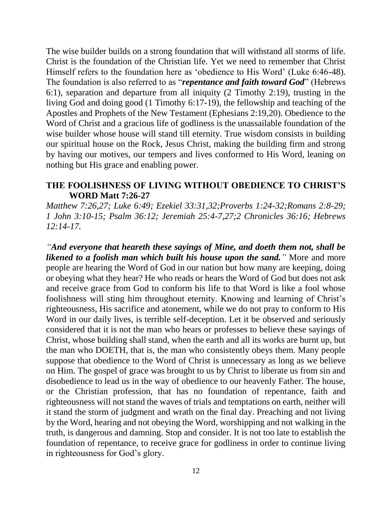The wise builder builds on a strong foundation that will withstand all storms of life. Christ is the foundation of the Christian life. Yet we need to remember that Christ Himself refers to the foundation here as 'obedience to His Word' (Luke 6:46-48). The foundation is also referred to as "*repentance and faith toward God*" (Hebrews 6:1), separation and departure from all iniquity (2 Timothy 2:19), trusting in the living God and doing good (1 Timothy 6:17-19), the fellowship and teaching of the Apostles and Prophets of the New Testament (Ephesians 2:19,20). Obedience to the Word of Christ and a gracious life of godliness is the unassailable foundation of the wise builder whose house will stand till eternity. True wisdom consists in building our spiritual house on the Rock, Jesus Christ, making the building firm and strong by having our motives, our tempers and lives conformed to His Word, leaning on nothing but His grace and enabling power.

#### **THE FOOLISHNESS OF LIVING WITHOUT OBEDIENCE TO CHRIST'S WORD Matt 7:26-27**

*Matthew 7:26,27; Luke 6:49; Ezekiel 33:31,32;Proverbs 1:24-32;Romans 2:8-29; 1 John 3:10-15; Psalm 36:12; Jeremiah 25:4-7,27;2 Chronicles 36:16; Hebrews 12:14-17.*

*"And everyone that heareth these sayings of Mine, and doeth them not, shall be likened to a foolish man which built his house upon the sand."* More and more people are hearing the Word of God in our nation but how many are keeping, doing or obeying what they hear? He who reads or hears the Word of God but does not ask and receive grace from God to conform his life to that Word is like a fool whose foolishness will sting him throughout eternity. Knowing and learning of Christ's righteousness, His sacrifice and atonement, while we do not pray to conform to His Word in our daily lives, is terrible self-deception. Let it be observed and seriously considered that it is not the man who hears or professes to believe these sayings of Christ, whose building shall stand, when the earth and all its works are burnt up, but the man who DOETH, that is, the man who consistently obeys them. Many people suppose that obedience to the Word of Christ is unnecessary as long as we believe on Him. The gospel of grace was brought to us by Christ to liberate us from sin and disobedience to lead us in the way of obedience to our heavenly Father. The house, or the Christian profession, that has no foundation of repentance, faith and righteousness will not stand the waves of trials and temptations on earth, neither will it stand the storm of judgment and wrath on the final day. Preaching and not living by the Word, hearing and not obeying the Word, worshipping and not walking in the truth, is dangerous and damning. Stop and consider. It is not too late to establish the foundation of repentance, to receive grace for godliness in order to continue living in righteousness for God's glory.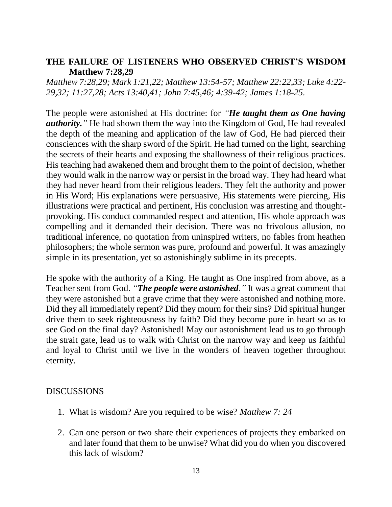### **THE FAILURE OF LISTENERS WHO OBSERVED CHRIST'S WISDOM Matthew 7:28,29**

*Matthew 7:28,29; Mark 1:21,22; Matthew 13:54-57; Matthew 22:22,33; Luke 4:22- 29,32; 11:27,28; Acts 13:40,41; John 7:45,46; 4:39-42; James 1:18-25.*

The people were astonished at His doctrine: for *"He taught them as One having authority.* "He had shown them the way into the Kingdom of God, He had revealed the depth of the meaning and application of the law of God, He had pierced their consciences with the sharp sword of the Spirit. He had turned on the light, searching the secrets of their hearts and exposing the shallowness of their religious practices. His teaching had awakened them and brought them to the point of decision, whether they would walk in the narrow way or persist in the broad way. They had heard what they had never heard from their religious leaders. They felt the authority and power in His Word; His explanations were persuasive, His statements were piercing, His illustrations were practical and pertinent, His conclusion was arresting and thoughtprovoking. His conduct commanded respect and attention, His whole approach was compelling and it demanded their decision. There was no frivolous allusion, no traditional inference, no quotation from uninspired writers, no fables from heathen philosophers; the whole sermon was pure, profound and powerful. It was amazingly simple in its presentation, yet so astonishingly sublime in its precepts.

He spoke with the authority of a King. He taught as One inspired from above, as a Teacher sent from God. *"The people were astonished."* It was a great comment that they were astonished but a grave crime that they were astonished and nothing more. Did they all immediately repent? Did they mourn for their sins? Did spiritual hunger drive them to seek righteousness by faith? Did they become pure in heart so as to see God on the final day? Astonished! May our astonishment lead us to go through the strait gate, lead us to walk with Christ on the narrow way and keep us faithful and loyal to Christ until we live in the wonders of heaven together throughout eternity.

- 1. What is wisdom? Are you required to be wise? *Matthew 7: 24*
- 2. Can one person or two share their experiences of projects they embarked on and later found that them to be unwise? What did you do when you discovered this lack of wisdom?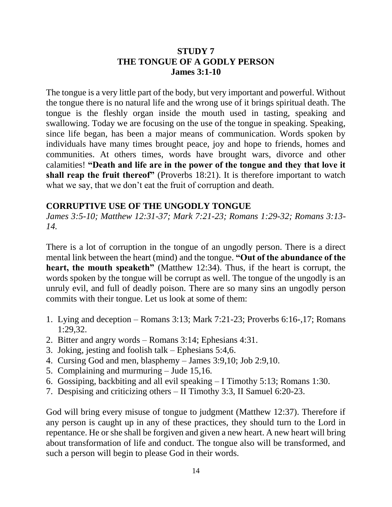### **STUDY 7 THE TONGUE OF A GODLY PERSON James 3:1-10**

The tongue is a very little part of the body, but very important and powerful. Without the tongue there is no natural life and the wrong use of it brings spiritual death. The tongue is the fleshly organ inside the mouth used in tasting, speaking and swallowing. Today we are focusing on the use of the tongue in speaking. Speaking, since life began, has been a major means of communication. Words spoken by individuals have many times brought peace, joy and hope to friends, homes and communities. At others times, words have brought wars, divorce and other calamities! **"Death and life are in the power of the tongue and they that love it shall reap the fruit thereof"** (Proverbs 18:21). It is therefore important to watch what we say, that we don't eat the fruit of corruption and death.

#### **CORRUPTIVE USE OF THE UNGODLY TONGUE**

*James 3:5-10; Matthew 12:31-37; Mark 7:21-23; Romans 1:29-32; Romans 3:13- 14.*

There is a lot of corruption in the tongue of an ungodly person. There is a direct mental link between the heart (mind) and the tongue. **"Out of the abundance of the heart, the mouth speaketh**" (Matthew 12:34). Thus, if the heart is corrupt, the words spoken by the tongue will be corrupt as well. The tongue of the ungodly is an unruly evil, and full of deadly poison. There are so many sins an ungodly person commits with their tongue. Let us look at some of them:

- 1. Lying and deception Romans 3:13; Mark 7:21-23; Proverbs 6:16-,17; Romans 1:29,32.
- 2. Bitter and angry words Romans 3:14; Ephesians 4:31.
- 3. Joking, jesting and foolish talk Ephesians 5:4,6.
- 4. Cursing God and men, blasphemy James 3:9,10; Job 2:9,10.
- 5. Complaining and murmuring Jude 15,16.
- 6. Gossiping, backbiting and all evil speaking I Timothy 5:13; Romans 1:30.
- 7. Despising and criticizing others II Timothy 3:3, II Samuel 6:20-23.

God will bring every misuse of tongue to judgment (Matthew 12:37). Therefore if any person is caught up in any of these practices, they should turn to the Lord in repentance. He or she shall be forgiven and given a new heart. A new heart will bring about transformation of life and conduct. The tongue also will be transformed, and such a person will begin to please God in their words.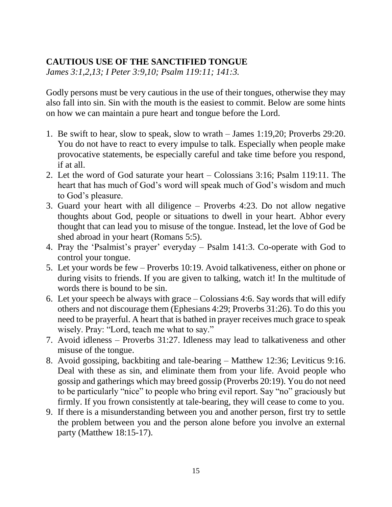### **CAUTIOUS USE OF THE SANCTIFIED TONGUE**

*James 3:1,2,13; I Peter 3:9,10; Psalm 119:11; 141:3.*

Godly persons must be very cautious in the use of their tongues, otherwise they may also fall into sin. Sin with the mouth is the easiest to commit. Below are some hints on how we can maintain a pure heart and tongue before the Lord.

- 1. Be swift to hear, slow to speak, slow to wrath James 1:19,20; Proverbs 29:20. You do not have to react to every impulse to talk. Especially when people make provocative statements, be especially careful and take time before you respond, if at all.
- 2. Let the word of God saturate your heart Colossians 3:16; Psalm 119:11. The heart that has much of God's word will speak much of God's wisdom and much to God's pleasure.
- 3. Guard your heart with all diligence Proverbs 4:23. Do not allow negative thoughts about God, people or situations to dwell in your heart. Abhor every thought that can lead you to misuse of the tongue. Instead, let the love of God be shed abroad in your heart (Romans 5:5).
- 4. Pray the 'Psalmist's prayer' everyday Psalm 141:3. Co-operate with God to control your tongue.
- 5. Let your words be few Proverbs 10:19. Avoid talkativeness, either on phone or during visits to friends. If you are given to talking, watch it! In the multitude of words there is bound to be sin.
- 6. Let your speech be always with grace Colossians 4:6. Say words that will edify others and not discourage them (Ephesians 4:29; Proverbs 31:26). To do this you need to be prayerful. A heart that is bathed in prayer receives much grace to speak wisely. Pray: "Lord, teach me what to say."
- 7. Avoid idleness Proverbs 31:27. Idleness may lead to talkativeness and other misuse of the tongue.
- 8. Avoid gossiping, backbiting and tale-bearing Matthew 12:36; Leviticus 9:16. Deal with these as sin, and eliminate them from your life. Avoid people who gossip and gatherings which may breed gossip (Proverbs 20:19). You do not need to be particularly "nice" to people who bring evil report. Say "no" graciously but firmly. If you frown consistently at tale-bearing, they will cease to come to you.
- 9. If there is a misunderstanding between you and another person, first try to settle the problem between you and the person alone before you involve an external party (Matthew 18:15-17).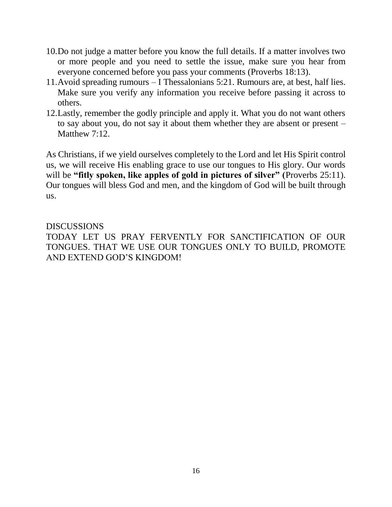- 10.Do not judge a matter before you know the full details. If a matter involves two or more people and you need to settle the issue, make sure you hear from everyone concerned before you pass your comments (Proverbs 18:13).
- 11.Avoid spreading rumours I Thessalonians 5:21. Rumours are, at best, half lies. Make sure you verify any information you receive before passing it across to others.
- 12.Lastly, remember the godly principle and apply it. What you do not want others to say about you, do not say it about them whether they are absent or present – Matthew 7:12.

As Christians, if we yield ourselves completely to the Lord and let His Spirit control us, we will receive His enabling grace to use our tongues to His glory. Our words will be "fitly spoken, like apples of gold in pictures of silver" (Proverbs 25:11). Our tongues will bless God and men, and the kingdom of God will be built through us.

#### **DISCUSSIONS**

TODAY LET US PRAY FERVENTLY FOR SANCTIFICATION OF OUR TONGUES. THAT WE USE OUR TONGUES ONLY TO BUILD, PROMOTE AND EXTEND GOD'S KINGDOM!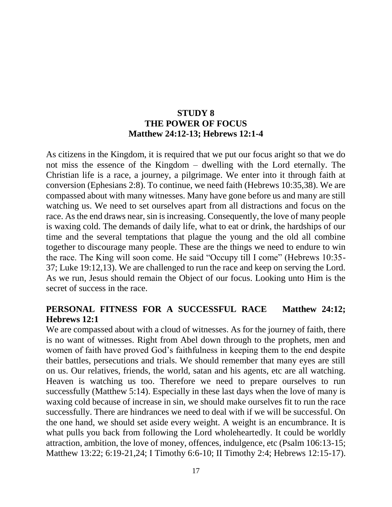### **STUDY 8 THE POWER OF FOCUS Matthew 24:12-13; Hebrews 12:1-4**

As citizens in the Kingdom, it is required that we put our focus aright so that we do not miss the essence of the Kingdom – dwelling with the Lord eternally. The Christian life is a race, a journey, a pilgrimage. We enter into it through faith at conversion (Ephesians 2:8). To continue, we need faith (Hebrews 10:35,38). We are compassed about with many witnesses. Many have gone before us and many are still watching us. We need to set ourselves apart from all distractions and focus on the race. As the end draws near, sin is increasing. Consequently, the love of many people is waxing cold. The demands of daily life, what to eat or drink, the hardships of our time and the several temptations that plague the young and the old all combine together to discourage many people. These are the things we need to endure to win the race. The King will soon come. He said "Occupy till I come" (Hebrews 10:35- 37; Luke 19:12,13). We are challenged to run the race and keep on serving the Lord. As we run, Jesus should remain the Object of our focus. Looking unto Him is the secret of success in the race.

### **PERSONAL FITNESS FOR A SUCCESSFUL RACE Matthew 24:12; Hebrews 12:1**

We are compassed about with a cloud of witnesses. As for the journey of faith, there is no want of witnesses. Right from Abel down through to the prophets, men and women of faith have proved God's faithfulness in keeping them to the end despite their battles, persecutions and trials. We should remember that many eyes are still on us. Our relatives, friends, the world, satan and his agents, etc are all watching. Heaven is watching us too. Therefore we need to prepare ourselves to run successfully (Matthew 5:14). Especially in these last days when the love of many is waxing cold because of increase in sin, we should make ourselves fit to run the race successfully. There are hindrances we need to deal with if we will be successful. On the one hand, we should set aside every weight. A weight is an encumbrance. It is what pulls you back from following the Lord wholeheartedly. It could be worldly attraction, ambition, the love of money, offences, indulgence, etc (Psalm 106:13-15; Matthew 13:22; 6:19-21,24; I Timothy 6:6-10; II Timothy 2:4; Hebrews 12:15-17).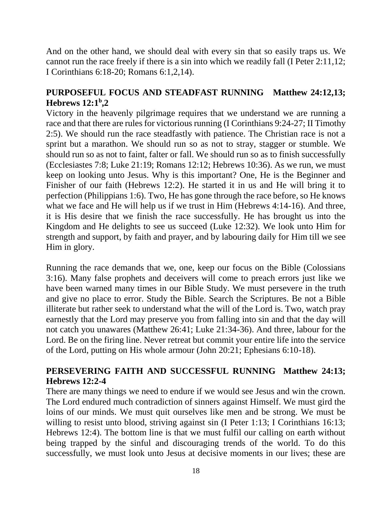And on the other hand, we should deal with every sin that so easily traps us. We cannot run the race freely if there is a sin into which we readily fall (I Peter 2:11,12; I Corinthians 6:18-20; Romans 6:1,2,14).

### **PURPOSEFUL FOCUS AND STEADFAST RUNNING Matthew 24:12,13; Hebrews 12:1<sup>b</sup> ,2**

Victory in the heavenly pilgrimage requires that we understand we are running a race and that there are rules for victorious running (I Corinthians 9:24-27; II Timothy 2:5). We should run the race steadfastly with patience. The Christian race is not a sprint but a marathon. We should run so as not to stray, stagger or stumble. We should run so as not to faint, falter or fall. We should run so as to finish successfully (Ecclesiastes 7:8; Luke 21:19; Romans 12:12; Hebrews 10:36). As we run, we must keep on looking unto Jesus. Why is this important? One, He is the Beginner and Finisher of our faith (Hebrews 12:2). He started it in us and He will bring it to perfection (Philippians 1:6). Two, He has gone through the race before, so He knows what we face and He will help us if we trust in Him (Hebrews 4:14-16). And three, it is His desire that we finish the race successfully. He has brought us into the Kingdom and He delights to see us succeed (Luke 12:32). We look unto Him for strength and support, by faith and prayer, and by labouring daily for Him till we see Him in glory.

Running the race demands that we, one, keep our focus on the Bible (Colossians 3:16). Many false prophets and deceivers will come to preach errors just like we have been warned many times in our Bible Study. We must persevere in the truth and give no place to error. Study the Bible. Search the Scriptures. Be not a Bible illiterate but rather seek to understand what the will of the Lord is. Two, watch pray earnestly that the Lord may preserve you from falling into sin and that the day will not catch you unawares (Matthew 26:41; Luke 21:34-36). And three, labour for the Lord. Be on the firing line. Never retreat but commit your entire life into the service of the Lord, putting on His whole armour (John 20:21; Ephesians 6:10-18).

### **PERSEVERING FAITH AND SUCCESSFUL RUNNING Matthew 24:13; Hebrews 12:2-4**

There are many things we need to endure if we would see Jesus and win the crown. The Lord endured much contradiction of sinners against Himself. We must gird the loins of our minds. We must quit ourselves like men and be strong. We must be willing to resist unto blood, striving against sin (I Peter 1:13; I Corinthians 16:13; Hebrews 12:4). The bottom line is that we must fulfil our calling on earth without being trapped by the sinful and discouraging trends of the world. To do this successfully, we must look unto Jesus at decisive moments in our lives; these are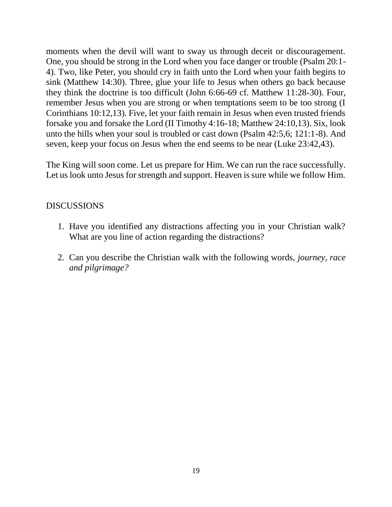moments when the devil will want to sway us through deceit or discouragement. One, you should be strong in the Lord when you face danger or trouble (Psalm 20:1- 4). Two, like Peter, you should cry in faith unto the Lord when your faith begins to sink (Matthew 14:30). Three, glue your life to Jesus when others go back because they think the doctrine is too difficult (John 6:66-69 cf. Matthew 11:28-30). Four, remember Jesus when you are strong or when temptations seem to be too strong (I Corinthians 10:12,13). Five, let your faith remain in Jesus when even trusted friends forsake you and forsake the Lord (II Timothy 4:16-18; Matthew 24:10,13). Six, look unto the hills when your soul is troubled or cast down (Psalm 42:5,6; 121:1-8). And seven, keep your focus on Jesus when the end seems to be near (Luke 23:42,43).

The King will soon come. Let us prepare for Him. We can run the race successfully. Let us look unto Jesus for strength and support. Heaven is sure while we follow Him.

- 1. Have you identified any distractions affecting you in your Christian walk? What are you line of action regarding the distractions?
- 2. Can you describe the Christian walk with the following words, *journey, race and pilgrimage?*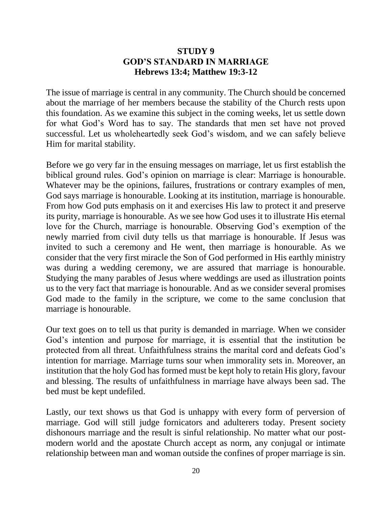### **STUDY 9 GOD'S STANDARD IN MARRIAGE Hebrews 13:4; Matthew 19:3-12**

The issue of marriage is central in any community. The Church should be concerned about the marriage of her members because the stability of the Church rests upon this foundation. As we examine this subject in the coming weeks, let us settle down for what God's Word has to say. The standards that men set have not proved successful. Let us wholeheartedly seek God's wisdom, and we can safely believe Him for marital stability.

Before we go very far in the ensuing messages on marriage, let us first establish the biblical ground rules. God's opinion on marriage is clear: Marriage is honourable. Whatever may be the opinions, failures, frustrations or contrary examples of men, God says marriage is honourable. Looking at its institution, marriage is honourable. From how God puts emphasis on it and exercises His law to protect it and preserve its purity, marriage is honourable. As we see how God uses it to illustrate His eternal love for the Church, marriage is honourable. Observing God's exemption of the newly married from civil duty tells us that marriage is honourable. If Jesus was invited to such a ceremony and He went, then marriage is honourable. As we consider that the very first miracle the Son of God performed in His earthly ministry was during a wedding ceremony, we are assured that marriage is honourable. Studying the many parables of Jesus where weddings are used as illustration points us to the very fact that marriage is honourable. And as we consider several promises God made to the family in the scripture, we come to the same conclusion that marriage is honourable.

Our text goes on to tell us that purity is demanded in marriage. When we consider God's intention and purpose for marriage, it is essential that the institution be protected from all threat. Unfaithfulness strains the marital cord and defeats God's intention for marriage. Marriage turns sour when immorality sets in. Moreover, an institution that the holy God has formed must be kept holy to retain His glory, favour and blessing. The results of unfaithfulness in marriage have always been sad. The bed must be kept undefiled.

Lastly, our text shows us that God is unhappy with every form of perversion of marriage. God will still judge fornicators and adulterers today. Present society dishonours marriage and the result is sinful relationship. No matter what our postmodern world and the apostate Church accept as norm, any conjugal or intimate relationship between man and woman outside the confines of proper marriage is sin.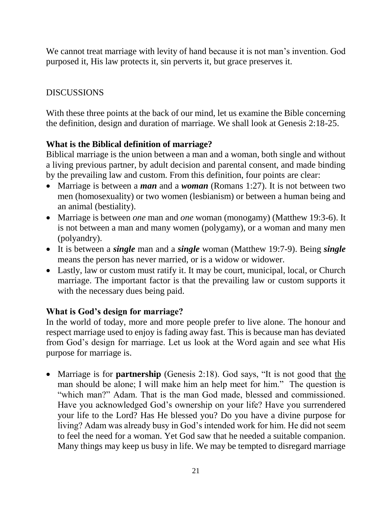We cannot treat marriage with levity of hand because it is not man's invention. God purposed it, His law protects it, sin perverts it, but grace preserves it.

### **DISCUSSIONS**

With these three points at the back of our mind, let us examine the Bible concerning the definition, design and duration of marriage. We shall look at Genesis 2:18-25.

### **What is the Biblical definition of marriage?**

Biblical marriage is the union between a man and a woman, both single and without a living previous partner, by adult decision and parental consent, and made binding by the prevailing law and custom. From this definition, four points are clear:

- Marriage is between a *man* and a *woman* (Romans 1:27). It is not between two men (homosexuality) or two women (lesbianism) or between a human being and an animal (bestiality).
- Marriage is between *one* man and *one* woman (monogamy) (Matthew 19:3-6). It is not between a man and many women (polygamy), or a woman and many men (polyandry).
- It is between a *single* man and a *single* woman (Matthew 19:7-9). Being *single* means the person has never married, or is a widow or widower.
- Lastly, law or custom must ratify it. It may be court, municipal, local, or Church marriage. The important factor is that the prevailing law or custom supports it with the necessary dues being paid.

### **What is God's design for marriage?**

In the world of today, more and more people prefer to live alone. The honour and respect marriage used to enjoy is fading away fast. This is because man has deviated from God's design for marriage. Let us look at the Word again and see what His purpose for marriage is.

 Marriage is for **partnership** (Genesis 2:18). God says, "It is not good that the man should be alone; I will make him an help meet for him." The question is "which man?" Adam. That is the man God made, blessed and commissioned. Have you acknowledged God's ownership on your life? Have you surrendered your life to the Lord? Has He blessed you? Do you have a divine purpose for living? Adam was already busy in God's intended work for him. He did not seem to feel the need for a woman. Yet God saw that he needed a suitable companion. Many things may keep us busy in life. We may be tempted to disregard marriage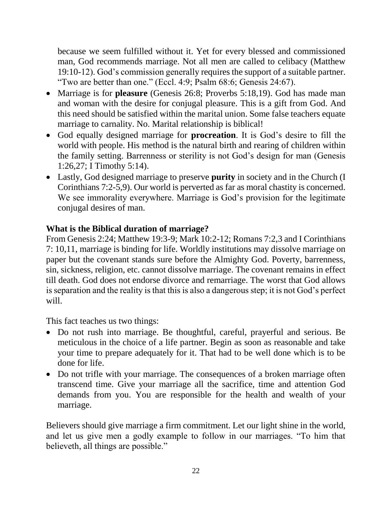because we seem fulfilled without it. Yet for every blessed and commissioned man, God recommends marriage. Not all men are called to celibacy (Matthew 19:10-12). God's commission generally requires the support of a suitable partner. "Two are better than one." (Eccl. 4:9; Psalm 68:6; Genesis 24:67).

- Marriage is for **pleasure** (Genesis 26:8; Proverbs 5:18,19). God has made man and woman with the desire for conjugal pleasure. This is a gift from God. And this need should be satisfied within the marital union. Some false teachers equate marriage to carnality. No. Marital relationship is biblical!
- God equally designed marriage for **procreation**. It is God's desire to fill the world with people. His method is the natural birth and rearing of children within the family setting. Barrenness or sterility is not God's design for man (Genesis 1:26,27; I Timothy 5:14).
- Lastly, God designed marriage to preserve **purity** in society and in the Church (I Corinthians 7:2-5,9). Our world is perverted as far as moral chastity is concerned. We see immorality everywhere. Marriage is God's provision for the legitimate conjugal desires of man.

### **What is the Biblical duration of marriage?**

From Genesis 2:24; Matthew 19:3-9; Mark 10:2-12; Romans 7:2,3 and I Corinthians 7: 10,11, marriage is binding for life. Worldly institutions may dissolve marriage on paper but the covenant stands sure before the Almighty God. Poverty, barrenness, sin, sickness, religion, etc. cannot dissolve marriage. The covenant remains in effect till death. God does not endorse divorce and remarriage. The worst that God allows is separation and the reality is that this is also a dangerous step; it is not God's perfect will.

This fact teaches us two things:

- Do not rush into marriage. Be thoughtful, careful, prayerful and serious. Be meticulous in the choice of a life partner. Begin as soon as reasonable and take your time to prepare adequately for it. That had to be well done which is to be done for life.
- Do not trifle with your marriage. The consequences of a broken marriage often transcend time. Give your marriage all the sacrifice, time and attention God demands from you. You are responsible for the health and wealth of your marriage.

Believers should give marriage a firm commitment. Let our light shine in the world, and let us give men a godly example to follow in our marriages. "To him that believeth, all things are possible."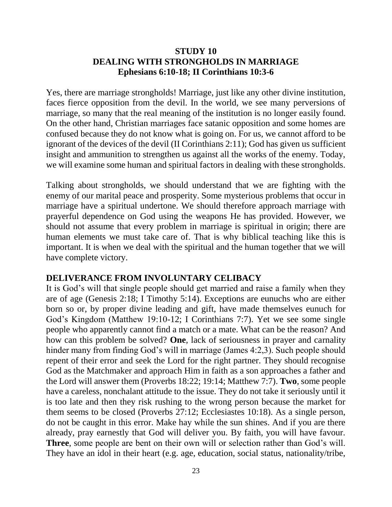### **STUDY 10 DEALING WITH STRONGHOLDS IN MARRIAGE Ephesians 6:10-18; II Corinthians 10:3-6**

Yes, there are marriage strongholds! Marriage, just like any other divine institution, faces fierce opposition from the devil. In the world, we see many perversions of marriage, so many that the real meaning of the institution is no longer easily found. On the other hand, Christian marriages face satanic opposition and some homes are confused because they do not know what is going on. For us, we cannot afford to be ignorant of the devices of the devil (II Corinthians 2:11); God has given us sufficient insight and ammunition to strengthen us against all the works of the enemy. Today, we will examine some human and spiritual factors in dealing with these strongholds.

Talking about strongholds, we should understand that we are fighting with the enemy of our marital peace and prosperity. Some mysterious problems that occur in marriage have a spiritual undertone. We should therefore approach marriage with prayerful dependence on God using the weapons He has provided. However, we should not assume that every problem in marriage is spiritual in origin; there are human elements we must take care of. That is why biblical teaching like this is important. It is when we deal with the spiritual and the human together that we will have complete victory.

#### **DELIVERANCE FROM INVOLUNTARY CELIBACY**

It is God's will that single people should get married and raise a family when they are of age (Genesis 2:18; I Timothy 5:14). Exceptions are eunuchs who are either born so or, by proper divine leading and gift, have made themselves eunuch for God's Kingdom (Matthew 19:10-12; I Corinthians 7:7). Yet we see some single people who apparently cannot find a match or a mate. What can be the reason? And how can this problem be solved? **One**, lack of seriousness in prayer and carnality hinder many from finding God's will in marriage (James 4:2,3). Such people should repent of their error and seek the Lord for the right partner. They should recognise God as the Matchmaker and approach Him in faith as a son approaches a father and the Lord will answer them (Proverbs 18:22; 19:14; Matthew 7:7). **Two**, some people have a careless, nonchalant attitude to the issue. They do not take it seriously until it is too late and then they risk rushing to the wrong person because the market for them seems to be closed (Proverbs 27:12; Ecclesiastes 10:18). As a single person, do not be caught in this error. Make hay while the sun shines. And if you are there already, pray earnestly that God will deliver you. By faith, you will have favour. **Three**, some people are bent on their own will or selection rather than God's will. They have an idol in their heart (e.g. age, education, social status, nationality/tribe,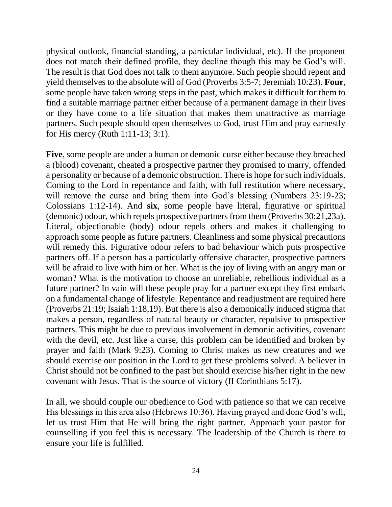physical outlook, financial standing, a particular individual, etc). If the proponent does not match their defined profile, they decline though this may be God's will. The result is that God does not talk to them anymore. Such people should repent and yield themselves to the absolute will of God (Proverbs 3:5-7; Jeremiah 10:23). **Four**, some people have taken wrong steps in the past, which makes it difficult for them to find a suitable marriage partner either because of a permanent damage in their lives or they have come to a life situation that makes them unattractive as marriage partners. Such people should open themselves to God, trust Him and pray earnestly for His mercy (Ruth 1:11-13; 3:1).

**Five**, some people are under a human or demonic curse either because they breached a (blood) covenant, cheated a prospective partner they promised to marry, offended a personality or because of a demonic obstruction. There is hope for such individuals. Coming to the Lord in repentance and faith, with full restitution where necessary, will remove the curse and bring them into God's blessing (Numbers 23:19-23; Colossians 1:12-14). And **six**, some people have literal, figurative or spiritual (demonic) odour, which repels prospective partners from them (Proverbs 30:21,23a). Literal, objectionable (body) odour repels others and makes it challenging to approach some people as future partners. Cleanliness and some physical precautions will remedy this. Figurative odour refers to bad behaviour which puts prospective partners off. If a person has a particularly offensive character, prospective partners will be afraid to live with him or her. What is the joy of living with an angry man or woman? What is the motivation to choose an unreliable, rebellious individual as a future partner? In vain will these people pray for a partner except they first embark on a fundamental change of lifestyle. Repentance and readjustment are required here (Proverbs 21:19; Isaiah 1:18,19). But there is also a demonically induced stigma that makes a person, regardless of natural beauty or character, repulsive to prospective partners. This might be due to previous involvement in demonic activities, covenant with the devil, etc. Just like a curse, this problem can be identified and broken by prayer and faith (Mark 9:23). Coming to Christ makes us new creatures and we should exercise our position in the Lord to get these problems solved. A believer in Christ should not be confined to the past but should exercise his/her right in the new covenant with Jesus. That is the source of victory (II Corinthians 5:17).

In all, we should couple our obedience to God with patience so that we can receive His blessings in this area also (Hebrews 10:36). Having prayed and done God's will, let us trust Him that He will bring the right partner. Approach your pastor for counselling if you feel this is necessary. The leadership of the Church is there to ensure your life is fulfilled.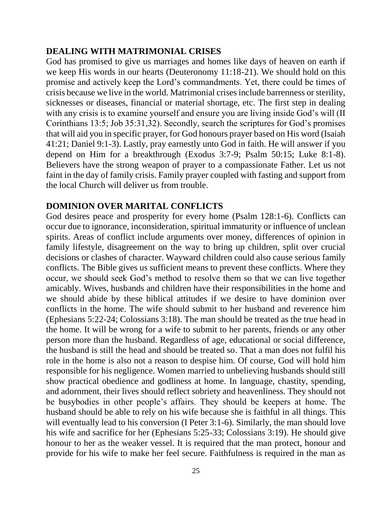### **DEALING WITH MATRIMONIAL CRISES**

God has promised to give us marriages and homes like days of heaven on earth if we keep His words in our hearts (Deuteronomy 11:18-21). We should hold on this promise and actively keep the Lord's commandments. Yet, there could be times of crisis because we live in the world. Matrimonial crises include barrenness or sterility, sicknesses or diseases, financial or material shortage, etc. The first step in dealing with any crisis is to examine yourself and ensure you are living inside God's will (II Corinthians 13:5; Job 35:31,32). Secondly, search the scriptures for God's promises that will aid you in specific prayer, for God honours prayer based on His word (Isaiah 41:21; Daniel 9:1-3). Lastly, pray earnestly unto God in faith. He will answer if you depend on Him for a breakthrough (Exodus 3:7-9; Psalm 50:15; Luke 8:1-8). Believers have the strong weapon of prayer to a compassionate Father. Let us not faint in the day of family crisis. Family prayer coupled with fasting and support from the local Church will deliver us from trouble.

### **DOMINION OVER MARITAL CONFLICTS**

God desires peace and prosperity for every home (Psalm 128:1-6). Conflicts can occur due to ignorance, inconsideration, spiritual immaturity or influence of unclean spirits. Areas of conflict include arguments over money, differences of opinion in family lifestyle, disagreement on the way to bring up children, split over crucial decisions or clashes of character. Wayward children could also cause serious family conflicts. The Bible gives us sufficient means to prevent these conflicts. Where they occur, we should seek God's method to resolve them so that we can live together amicably. Wives, husbands and children have their responsibilities in the home and we should abide by these biblical attitudes if we desire to have dominion over conflicts in the home. The wife should submit to her husband and reverence him (Ephesians 5:22-24; Colossians 3:18). The man should be treated as the true head in the home. It will be wrong for a wife to submit to her parents, friends or any other person more than the husband. Regardless of age, educational or social difference, the husband is still the head and should be treated so. That a man does not fulfil his role in the home is also not a reason to despise him. Of course, God will hold him responsible for his negligence. Women married to unbelieving husbands should still show practical obedience and godliness at home. In language, chastity, spending, and adornment, their lives should reflect sobriety and heavenliness. They should not be busybodies in other people's affairs. They should be keepers at home. The husband should be able to rely on his wife because she is faithful in all things. This will eventually lead to his conversion (I Peter 3:1-6). Similarly, the man should love his wife and sacrifice for her (Ephesians 5:25-33; Colossians 3:19). He should give honour to her as the weaker vessel. It is required that the man protect, honour and provide for his wife to make her feel secure. Faithfulness is required in the man as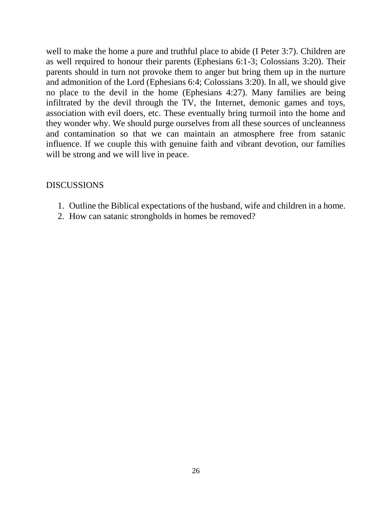well to make the home a pure and truthful place to abide (I Peter 3:7). Children are as well required to honour their parents (Ephesians 6:1-3; Colossians 3:20). Their parents should in turn not provoke them to anger but bring them up in the nurture and admonition of the Lord (Ephesians 6:4; Colossians 3:20). In all, we should give no place to the devil in the home (Ephesians 4:27). Many families are being infiltrated by the devil through the TV, the Internet, demonic games and toys, association with evil doers, etc. These eventually bring turmoil into the home and they wonder why. We should purge ourselves from all these sources of uncleanness and contamination so that we can maintain an atmosphere free from satanic influence. If we couple this with genuine faith and vibrant devotion, our families will be strong and we will live in peace.

- 1. Outline the Biblical expectations of the husband, wife and children in a home.
- 2. How can satanic strongholds in homes be removed?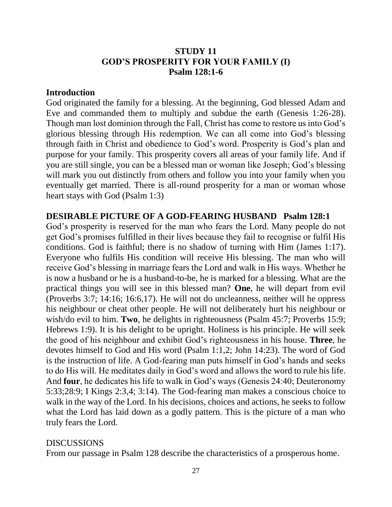### **STUDY 11 GOD'S PROSPERITY FOR YOUR FAMILY (I) Psalm 128:1-6**

#### **Introduction**

God originated the family for a blessing. At the beginning, God blessed Adam and Eve and commanded them to multiply and subdue the earth (Genesis 1:26-28). Though man lost dominion through the Fall, Christ has come to restore us into God's glorious blessing through His redemption. We can all come into God's blessing through faith in Christ and obedience to God's word. Prosperity is God's plan and purpose for your family. This prosperity covers all areas of your family life. And if you are still single, you can be a blessed man or woman like Joseph; God's blessing will mark you out distinctly from others and follow you into your family when you eventually get married. There is all-round prosperity for a man or woman whose heart stays with God (Psalm 1:3)

#### **DESIRABLE PICTURE OF A GOD-FEARING HUSBAND Psalm 128:1**

God's prosperity is reserved for the man who fears the Lord. Many people do not get God's promises fulfilled in their lives because they fail to recognise or fulfil His conditions. God is faithful; there is no shadow of turning with Him (James 1:17). Everyone who fulfils His condition will receive His blessing. The man who will receive God's blessing in marriage fears the Lord and walk in His ways. Whether he is now a husband or he is a husband-to-be, he is marked for a blessing. What are the practical things you will see in this blessed man? **One**, he will depart from evil (Proverbs 3:7; 14:16; 16:6,17). He will not do uncleanness, neither will he oppress his neighbour or cheat other people. He will not deliberately hurt his neighbour or wish/do evil to him. **Two**, he delights in righteousness (Psalm 45:7; Proverbs 15:9; Hebrews 1:9). It is his delight to be upright. Holiness is his principle. He will seek the good of his neighbour and exhibit God's righteousness in his house. **Three**, he devotes himself to God and His word (Psalm 1:1,2; John 14:23). The word of God is the instruction of life. A God-fearing man puts himself in God's hands and seeks to do His will. He meditates daily in God's word and allows the word to rule his life. And **four**, he dedicates his life to walk in God's ways (Genesis 24:40; Deuteronomy 5:33;28:9; I Kings 2:3,4; 3:14). The God-fearing man makes a conscious choice to walk in the way of the Lord. In his decisions, choices and actions, he seeks to follow what the Lord has laid down as a godly pattern. This is the picture of a man who truly fears the Lord.

#### DISCUSSIONS

From our passage in Psalm 128 describe the characteristics of a prosperous home.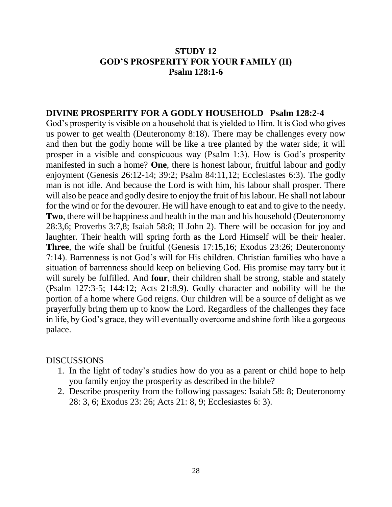### **STUDY 12 GOD'S PROSPERITY FOR YOUR FAMILY (II) Psalm 128:1-6**

#### **DIVINE PROSPERITY FOR A GODLY HOUSEHOLD Psalm 128:2-4**

God's prosperity is visible on a household that is yielded to Him. It is God who gives us power to get wealth (Deuteronomy 8:18). There may be challenges every now and then but the godly home will be like a tree planted by the water side; it will prosper in a visible and conspicuous way (Psalm 1:3). How is God's prosperity manifested in such a home? **One**, there is honest labour, fruitful labour and godly enjoyment (Genesis 26:12-14; 39:2; Psalm 84:11,12; Ecclesiastes 6:3). The godly man is not idle. And because the Lord is with him, his labour shall prosper. There will also be peace and godly desire to enjoy the fruit of his labour. He shall not labour for the wind or for the devourer. He will have enough to eat and to give to the needy. **Two**, there will be happiness and health in the man and his household (Deuteronomy 28:3,6; Proverbs 3:7,8; Isaiah 58:8; II John 2). There will be occasion for joy and laughter. Their health will spring forth as the Lord Himself will be their healer. **Three**, the wife shall be fruitful (Genesis 17:15,16; Exodus 23:26; Deuteronomy 7:14). Barrenness is not God's will for His children. Christian families who have a situation of barrenness should keep on believing God. His promise may tarry but it will surely be fulfilled. And **four**, their children shall be strong, stable and stately (Psalm 127:3-5; 144:12; Acts 21:8,9). Godly character and nobility will be the portion of a home where God reigns. Our children will be a source of delight as we prayerfully bring them up to know the Lord. Regardless of the challenges they face in life, by God's grace, they will eventually overcome and shine forth like a gorgeous palace.

- 1. In the light of today's studies how do you as a parent or child hope to help you family enjoy the prosperity as described in the bible?
- 2. Describe prosperity from the following passages: Isaiah 58: 8; Deuteronomy 28: 3, 6; Exodus 23: 26; Acts 21: 8, 9; Ecclesiastes 6: 3).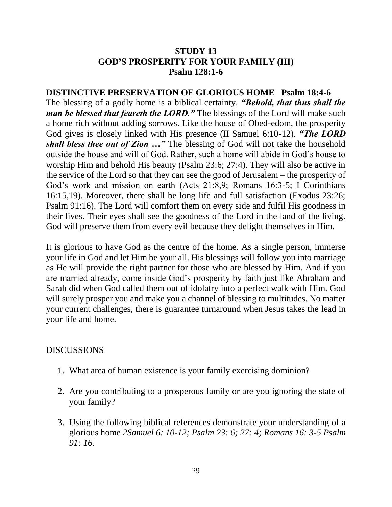### **STUDY 13 GOD'S PROSPERITY FOR YOUR FAMILY (III) Psalm 128:1-6**

**DISTINCTIVE PRESERVATION OF GLORIOUS HOME Psalm 18:4-6** The blessing of a godly home is a biblical certainty. *"Behold, that thus shall the man be blessed that feareth the LORD.*" The blessings of the Lord will make such a home rich without adding sorrows. Like the house of Obed-edom, the prosperity God gives is closely linked with His presence (II Samuel 6:10-12). *"The LORD shall bless thee out of Zion …"* The blessing of God will not take the household outside the house and will of God. Rather, such a home will abide in God's house to worship Him and behold His beauty (Psalm 23:6; 27:4). They will also be active in the service of the Lord so that they can see the good of Jerusalem – the prosperity of God's work and mission on earth (Acts 21:8,9; Romans 16:3-5; I Corinthians 16:15,19). Moreover, there shall be long life and full satisfaction (Exodus 23:26; Psalm 91:16). The Lord will comfort them on every side and fulfil His goodness in their lives. Their eyes shall see the goodness of the Lord in the land of the living. God will preserve them from every evil because they delight themselves in Him.

It is glorious to have God as the centre of the home. As a single person, immerse your life in God and let Him be your all. His blessings will follow you into marriage as He will provide the right partner for those who are blessed by Him. And if you are married already, come inside God's prosperity by faith just like Abraham and Sarah did when God called them out of idolatry into a perfect walk with Him. God will surely prosper you and make you a channel of blessing to multitudes. No matter your current challenges, there is guarantee turnaround when Jesus takes the lead in your life and home.

- 1. What area of human existence is your family exercising dominion?
- 2. Are you contributing to a prosperous family or are you ignoring the state of your family?
- 3. Using the following biblical references demonstrate your understanding of a glorious home *2Samuel 6: 10-12; Psalm 23: 6; 27: 4; Romans 16: 3-5 Psalm 91: 16.*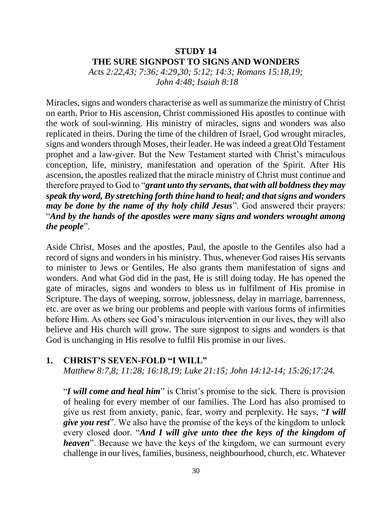### **STUDY 14 THE SURE SIGNPOST TO SIGNS AND WONDERS**

*Acts 2:22,43; 7:36; 4:29,30; 5:12; 14:3; Romans 15:18,19; John 4:48; Isaiah 8:18*

Miracles, signs and wonders characterise as well as summarize the ministry of Christ on earth. Prior to His ascension, Christ commissioned His apostles to continue with the work of soul-winning. His ministry of miracles, signs and wonders was also replicated in theirs. During the time of the children of Israel, God wrought miracles, signs and wonders through Moses, their leader. He was indeed a great Old Testament prophet and a law-giver. But the New Testament started with Christ's miraculous conception, life, ministry, manifestation and operation of the Spirit. After His ascension, the apostles realized that the miracle ministry of Christ must continue and therefore prayed to God to "*grant unto thy servants, that with all boldness they may speak thy word, By stretching forth thine hand to heal; and that signs and wonders may be done by the name of thy holy child Jesus*". God answered their prayers: "*And by the hands of the apostles were many signs and wonders wrought among the people*".

Aside Christ, Moses and the apostles, Paul, the apostle to the Gentiles also had a record of signs and wonders in his ministry. Thus, whenever God raises His servants to minister to Jews or Gentiles, He also grants them manifestation of signs and wonders. And what God did in the past, He is still doing today. He has opened the gate of miracles, signs and wonders to bless us in fulfilment of His promise in Scripture. The days of weeping, sorrow, joblessness, delay in marriage, barrenness, etc. are over as we bring our problems and people with various forms of infirmities before Him. As others see God's miraculous intervention in our lives, they will also believe and His church will grow. The sure signpost to signs and wonders is that God is unchanging in His resolve to fulfil His promise in our lives.

#### **1. CHRIST'S SEVEN-FOLD "I WILL"**

*Matthew 8:7,8; 11:28; 16:18,19; Luke 21:15; John 14:12-14; 15:26;17:24.*

"*I will come and heal him*" is Christ's promise to the sick. There is provision of healing for every member of our families. The Lord has also promised to give us rest from anxiety, panic, fear, worry and perplexity. He says, "*I will give you rest*". We also have the promise of the keys of the kingdom to unlock every closed door. "*And I will give unto thee the keys of the kingdom of heaven*". Because we have the keys of the kingdom, we can surmount every challenge in our lives, families, business, neighbourhood, church, etc. Whatever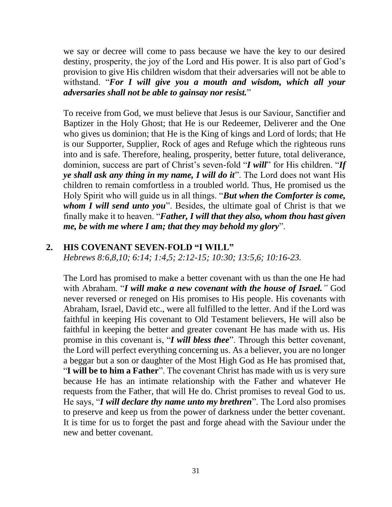we say or decree will come to pass because we have the key to our desired destiny, prosperity, the joy of the Lord and His power. It is also part of God's provision to give His children wisdom that their adversaries will not be able to withstand. "*For I will give you a mouth and wisdom, which all your adversaries shall not be able to gainsay nor resist.*"

To receive from God, we must believe that Jesus is our Saviour, Sanctifier and Baptizer in the Holy Ghost; that He is our Redeemer, Deliverer and the One who gives us dominion; that He is the King of kings and Lord of lords; that He is our Supporter, Supplier, Rock of ages and Refuge which the righteous runs into and is safe. Therefore, healing, prosperity, better future, total deliverance, dominion, success are part of Christ's seven-fold "*I will*" for His children. "*If ye shall ask any thing in my name, I will do it*". The Lord does not want His children to remain comfortless in a troubled world. Thus, He promised us the Holy Spirit who will guide us in all things. "*But when the Comforter is come, whom I will send unto you*". Besides, the ultimate goal of Christ is that we finally make it to heaven. "*Father, I will that they also, whom thou hast given me, be with me where I am; that they may behold my glory*".

### **2. HIS COVENANT SEVEN-FOLD "I WILL"**

*Hebrews 8:6,8,10; 6:14; 1:4,5; 2:12-15; 10:30; 13:5,6; 10:16-23.*

The Lord has promised to make a better covenant with us than the one He had with Abraham. "*I will make a new covenant with the house of Israel."* God never reversed or reneged on His promises to His people. His covenants with Abraham, Israel, David etc., were all fulfilled to the letter. And if the Lord was faithful in keeping His covenant to Old Testament believers, He will also be faithful in keeping the better and greater covenant He has made with us. His promise in this covenant is, "*I will bless thee*". Through this better covenant, the Lord will perfect everything concerning us. As a believer, you are no longer a beggar but a son or daughter of the Most High God as He has promised that, "**I will be to him a Father**". The covenant Christ has made with us is very sure because He has an intimate relationship with the Father and whatever He requests from the Father, that will He do. Christ promises to reveal God to us. He says, "*I will declare thy name unto my brethren*". The Lord also promises to preserve and keep us from the power of darkness under the better covenant. It is time for us to forget the past and forge ahead with the Saviour under the new and better covenant.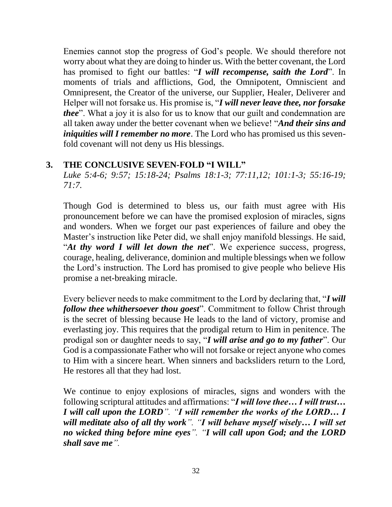Enemies cannot stop the progress of God's people. We should therefore not worry about what they are doing to hinder us. With the better covenant, the Lord has promised to fight our battles: "*I will recompense, saith the Lord*". In moments of trials and afflictions, God, the Omnipotent, Omniscient and Omnipresent, the Creator of the universe, our Supplier, Healer, Deliverer and Helper will not forsake us. His promise is, "*I will never leave thee, nor forsake thee*". What a joy it is also for us to know that our guilt and condemnation are all taken away under the better covenant when we believe! "*And their sins and iniquities will I remember no more*. The Lord who has promised us this sevenfold covenant will not deny us His blessings.

### **3. THE CONCLUSIVE SEVEN-FOLD "I WILL"**

*Luke 5:4-6; 9:57; 15:18-24; Psalms 18:1-3; 77:11,12; 101:1-3; 55:16-19; 71:7.*

Though God is determined to bless us, our faith must agree with His pronouncement before we can have the promised explosion of miracles, signs and wonders. When we forget our past experiences of failure and obey the Master's instruction like Peter did, we shall enjoy manifold blessings. He said, "*At thy word I will let down the net*". We experience success, progress, courage, healing, deliverance, dominion and multiple blessings when we follow the Lord's instruction. The Lord has promised to give people who believe His promise a net-breaking miracle.

Every believer needs to make commitment to the Lord by declaring that, "*I will follow thee whithersoever thou goest*". Commitment to follow Christ through is the secret of blessing because He leads to the land of victory, promise and everlasting joy. This requires that the prodigal return to Him in penitence. The prodigal son or daughter needs to say, "*I will arise and go to my father*". Our God is a compassionate Father who will not forsake or reject anyone who comes to Him with a sincere heart. When sinners and backsliders return to the Lord, He restores all that they had lost.

We continue to enjoy explosions of miracles, signs and wonders with the following scriptural attitudes and affirmations: "*I will love thee… I will trust… I will call upon the LORD". "I will remember the works of the LORD… I will meditate also of all thy work". "I will behave myself wisely… I will set no wicked thing before mine eyes". "I will call upon God; and the LORD shall save me".*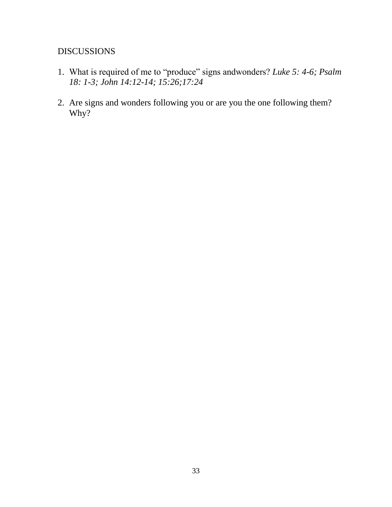- 1. What is required of me to "produce" signs andwonders? *Luke 5: 4-6; Psalm 18: 1-3; John 14:12-14; 15:26;17:24*
- 2. Are signs and wonders following you or are you the one following them? Why?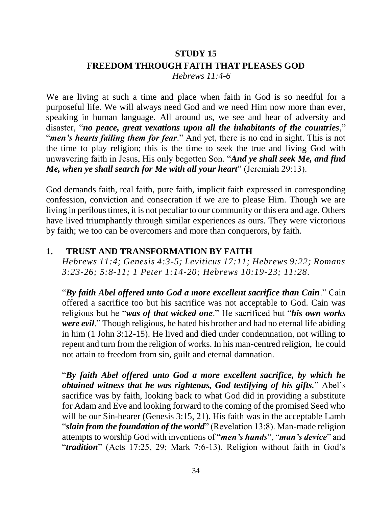### **STUDY 15 FREEDOM THROUGH FAITH THAT PLEASES GOD**  *Hebrews 11:4-6*

We are living at such a time and place when faith in God is so needful for a purposeful life. We will always need God and we need Him now more than ever, speaking in human language. All around us, we see and hear of adversity and disaster, "*no peace, great vexations upon all the inhabitants of the countries*," "*men's hearts failing them for fear*." And yet, there is no end in sight. This is not the time to play religion; this is the time to seek the true and living God with unwavering faith in Jesus, His only begotten Son. "*And ye shall seek Me, and find Me, when ye shall search for Me with all your heart*" (Jeremiah 29:13).

God demands faith, real faith, pure faith, implicit faith expressed in corresponding confession, conviction and consecration if we are to please Him. Though we are living in perilous times, it is not peculiar to our community or this era and age. Others have lived triumphantly through similar experiences as ours. They were victorious by faith; we too can be overcomers and more than conquerors, by faith.

### **1. TRUST AND TRANSFORMATION BY FAITH**

*Hebrews 11:4; Genesis 4:3-5; Leviticus 17:11; Hebrews 9:22; Romans 3:23-26; 5:8-11; 1 Peter 1:14-20; Hebrews 10:19-23; 11:28.*

"*By faith Abel offered unto God a more excellent sacrifice than Cain*." Cain offered a sacrifice too but his sacrifice was not acceptable to God. Cain was religious but he "*was of that wicked one*." He sacrificed but "*his own works were evil*." Though religious, he hated his brother and had no eternal life abiding in him (1 John 3:12-15). He lived and died under condemnation, not willing to repent and turn from the religion of works. In his man-centred religion, he could not attain to freedom from sin, guilt and eternal damnation.

"*By faith Abel offered unto God a more excellent sacrifice, by which he obtained witness that he was righteous, God testifying of his gifts.*" Abel's sacrifice was by faith, looking back to what God did in providing a substitute for Adam and Eve and looking forward to the coming of the promised Seed who will be our Sin-bearer (Genesis 3:15, 21). His faith was in the acceptable Lamb "*slain from the foundation of the world*" (Revelation 13:8). Man-made religion attempts to worship God with inventions of "*men's hands*", "*man's device*" and "*tradition*" (Acts 17:25, 29; Mark 7:6-13). Religion without faith in God's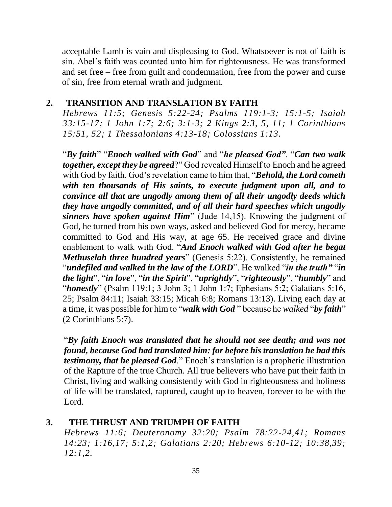acceptable Lamb is vain and displeasing to God. Whatsoever is not of faith is sin. Abel's faith was counted unto him for righteousness. He was transformed and set free – free from guilt and condemnation, free from the power and curse of sin, free from eternal wrath and judgment.

### **2. TRANSITION AND TRANSLATION BY FAITH**

*Hebrews 11:5; Genesis 5:22-24; Psalms 119:1-3; 15:1-5; Isaiah 33:15-17; 1 John 1:7; 2:6; 3:1-3; 2 Kings 2:3, 5, 11; 1 Corinthians 15:51, 52; 1 Thessalonians 4:13-18; Colossians 1:13.*

"*By faith*" "*Enoch walked with God*" and "*he pleased God"*. "*Can two walk together, except they be agreed*?" God revealed Himself to Enoch and he agreed with God by faith. God's revelation came to him that, "*Behold, the Lord cometh with ten thousands of His saints, to execute judgment upon all, and to convince all that are ungodly among them of all their ungodly deeds which they have ungodly committed, and of all their hard speeches which ungodly sinners have spoken against Him*" (Jude 14,15). Knowing the judgment of God, he turned from his own ways, asked and believed God for mercy, became committed to God and His way, at age 65. He received grace and divine enablement to walk with God. "*And Enoch walked with God after he begat Methuselah three hundred years*" (Genesis 5:22). Consistently, he remained "*undefiled and walked in the law of the LORD*". He walked "*in the truth"* "*in the light*", "*in love*", "*in the Spirit*", "*uprightly*", "*righteously*", "*humbly*" and "*honestly*" (Psalm 119:1; 3 John 3; 1 John 1:7; Ephesians 5:2; Galatians 5:16, 25; Psalm 84:11; Isaiah 33:15; Micah 6:8; Romans 13:13). Living each day at a time, it was possible for him to "*walk with God* " because he *walked* "*by faith*" (2 Corinthians 5:7).

"*By faith Enoch was translated that he should not see death; and was not found, because God had translated him: for before his translation he had this testimony, that he pleased God*." Enoch's translation is a prophetic illustration of the Rapture of the true Church. All true believers who have put their faith in Christ, living and walking consistently with God in righteousness and holiness of life will be translated, raptured, caught up to heaven, forever to be with the Lord.

#### **3. THE THRUST AND TRIUMPH OF FAITH**

*Hebrews 11:6; Deuteronomy 32:20; Psalm 78:22-24,41; Romans 14:23; 1:16,17; 5:1,2; Galatians 2:20; Hebrews 6:10-12; 10:38,39; 12:1,2.*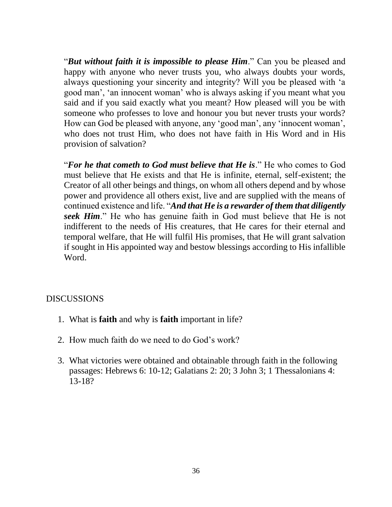"*But without faith it is impossible to please Him*." Can you be pleased and happy with anyone who never trusts you, who always doubts your words, always questioning your sincerity and integrity? Will you be pleased with 'a good man', 'an innocent woman' who is always asking if you meant what you said and if you said exactly what you meant? How pleased will you be with someone who professes to love and honour you but never trusts your words? How can God be pleased with anyone, any 'good man', any 'innocent woman', who does not trust Him, who does not have faith in His Word and in His provision of salvation?

"*For he that cometh to God must believe that He is*." He who comes to God must believe that He exists and that He is infinite, eternal, self-existent; the Creator of all other beings and things, on whom all others depend and by whose power and providence all others exist, live and are supplied with the means of continued existence and life. "*And that He is a rewarder of them that diligently seek Him*." He who has genuine faith in God must believe that He is not indifferent to the needs of His creatures, that He cares for their eternal and temporal welfare, that He will fulfil His promises, that He will grant salvation if sought in His appointed way and bestow blessings according to His infallible Word.

- 1. What is **faith** and why is **faith** important in life?
- 2. How much faith do we need to do God's work?
- 3. What victories were obtained and obtainable through faith in the following passages: Hebrews 6: 10-12; Galatians 2: 20; 3 John 3; 1 Thessalonians 4: 13-18?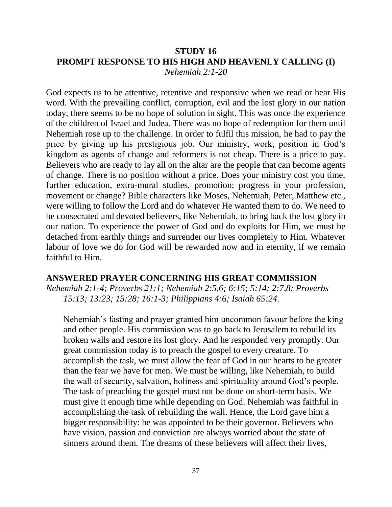#### **STUDY 16 PROMPT RESPONSE TO HIS HIGH AND HEAVENLY CALLING (I)** *Nehemiah 2:1-20*

God expects us to be attentive, retentive and responsive when we read or hear His word. With the prevailing conflict, corruption, evil and the lost glory in our nation today, there seems to be no hope of solution in sight. This was once the experience of the children of Israel and Judea. There was no hope of redemption for them until Nehemiah rose up to the challenge. In order to fulfil this mission, he had to pay the price by giving up his prestigious job. Our ministry, work, position in God's kingdom as agents of change and reformers is not cheap. There is a price to pay. Believers who are ready to lay all on the altar are the people that can become agents of change. There is no position without a price. Does your ministry cost you time, further education, extra-mural studies, promotion; progress in your profession, movement or change? Bible characters like Moses, Nehemiah, Peter, Matthew etc., were willing to follow the Lord and do whatever He wanted them to do. We need to be consecrated and devoted believers, like Nehemiah, to bring back the lost glory in our nation. To experience the power of God and do exploits for Him, we must be detached from earthly things and surrender our lives completely to Him. Whatever labour of love we do for God will be rewarded now and in eternity, if we remain faithful to Him.

#### **ANSWERED PRAYER CONCERNING HIS GREAT COMMISSION**

*Nehemiah 2:1-4; Proverbs 21:1; Nehemiah 2:5,6; 6:15; 5:14; 2:7,8; Proverbs 15:13; 13:23; 15:28; 16:1-3; Philippians 4:6; Isaiah 65:24.*

Nehemiah's fasting and prayer granted him uncommon favour before the king and other people. His commission was to go back to Jerusalem to rebuild its broken walls and restore its lost glory. And he responded very promptly. Our great commission today is to preach the gospel to every creature. To accomplish the task, we must allow the fear of God in our hearts to be greater than the fear we have for men. We must be willing, like Nehemiah, to build the wall of security, salvation, holiness and spirituality around God's people. The task of preaching the gospel must not be done on short-term basis. We must give it enough time while depending on God. Nehemiah was faithful in accomplishing the task of rebuilding the wall. Hence, the Lord gave him a bigger responsibility: he was appointed to be their governor. Believers who have vision, passion and conviction are always worried about the state of sinners around them. The dreams of these believers will affect their lives,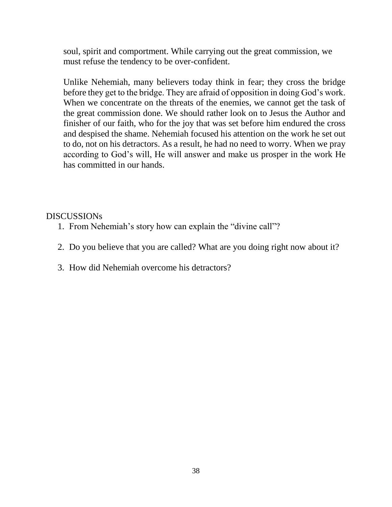soul, spirit and comportment. While carrying out the great commission, we must refuse the tendency to be over-confident.

Unlike Nehemiah, many believers today think in fear; they cross the bridge before they get to the bridge. They are afraid of opposition in doing God's work. When we concentrate on the threats of the enemies, we cannot get the task of the great commission done. We should rather look on to Jesus the Author and finisher of our faith, who for the joy that was set before him endured the cross and despised the shame. Nehemiah focused his attention on the work he set out to do, not on his detractors. As a result, he had no need to worry. When we pray according to God's will, He will answer and make us prosper in the work He has committed in our hands.

- 1. From Nehemiah's story how can explain the "divine call"?
- 2. Do you believe that you are called? What are you doing right now about it?
- 3. How did Nehemiah overcome his detractors?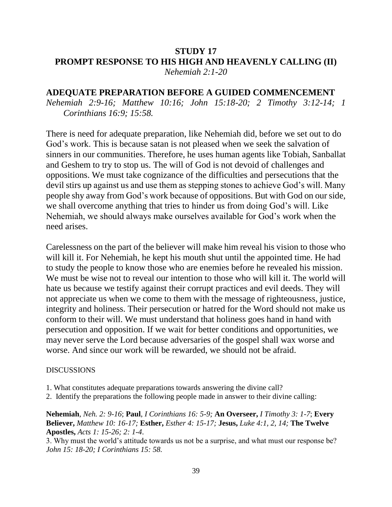#### **STUDY 17 PROMPT RESPONSE TO HIS HIGH AND HEAVENLY CALLING (II)** *Nehemiah 2:1-20*

#### **ADEQUATE PREPARATION BEFORE A GUIDED COMMENCEMENT**

*Nehemiah 2:9-16; Matthew 10:16; John 15:18-20; 2 Timothy 3:12-14; 1 Corinthians 16:9; 15:58.*

There is need for adequate preparation, like Nehemiah did, before we set out to do God's work. This is because satan is not pleased when we seek the salvation of sinners in our communities. Therefore, he uses human agents like Tobiah, Sanballat and Geshem to try to stop us. The will of God is not devoid of challenges and oppositions. We must take cognizance of the difficulties and persecutions that the devil stirs up against us and use them as stepping stones to achieve God's will. Many people shy away from God's work because of oppositions. But with God on our side, we shall overcome anything that tries to hinder us from doing God's will. Like Nehemiah, we should always make ourselves available for God's work when the need arises.

Carelessness on the part of the believer will make him reveal his vision to those who will kill it. For Nehemiah, he kept his mouth shut until the appointed time. He had to study the people to know those who are enemies before he revealed his mission. We must be wise not to reveal our intention to those who will kill it. The world will hate us because we testify against their corrupt practices and evil deeds. They will not appreciate us when we come to them with the message of righteousness, justice, integrity and holiness. Their persecution or hatred for the Word should not make us conform to their will. We must understand that holiness goes hand in hand with persecution and opposition. If we wait for better conditions and opportunities, we may never serve the Lord because adversaries of the gospel shall wax worse and worse. And since our work will be rewarded, we should not be afraid.

#### DISCUSSIONS

- 1. What constitutes adequate preparations towards answering the divine call?
- 2. Identify the preparations the following people made in answer to their divine calling:

**Nehemiah**, *Neh. 2: 9-16*; **Paul**, *I Corinthians 16: 5-9;* **An Overseer,** *I Timothy 3: 1-7*; **Every Believer,** *Matthew 10: 16-17;* **Esther,** *Esther 4: 15-17;* **Jesus,** *Luke 4:1, 2, 14;* **The Twelve Apostles,** *Acts 1: 15-26; 2: 1-4*.

3. Why must the world's attitude towards us not be a surprise, and what must our response be? *John 15: 18-20; I Corinthians 15: 58.*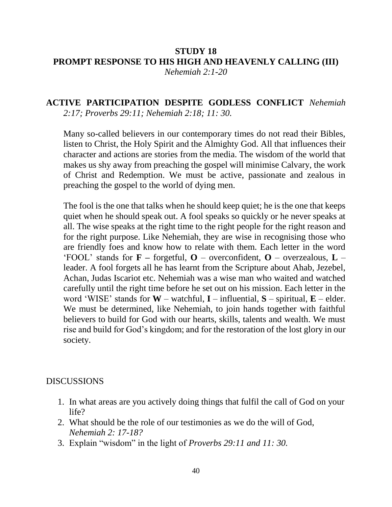# **STUDY 18 PROMPT RESPONSE TO HIS HIGH AND HEAVENLY CALLING (III)**

*Nehemiah 2:1-20*

### **ACTIVE PARTICIPATION DESPITE GODLESS CONFLICT** *Nehemiah 2:17; Proverbs 29:11; Nehemiah 2:18; 11: 30.*

Many so-called believers in our contemporary times do not read their Bibles, listen to Christ, the Holy Spirit and the Almighty God. All that influences their character and actions are stories from the media. The wisdom of the world that makes us shy away from preaching the gospel will minimise Calvary, the work of Christ and Redemption. We must be active, passionate and zealous in preaching the gospel to the world of dying men.

The fool is the one that talks when he should keep quiet; he is the one that keeps quiet when he should speak out. A fool speaks so quickly or he never speaks at all. The wise speaks at the right time to the right people for the right reason and for the right purpose. Like Nehemiah, they are wise in recognising those who are friendly foes and know how to relate with them. Each letter in the word 'FOOL' stands for **F –** forgetful, **O** – overconfident, **O** – overzealous, **L** – leader. A fool forgets all he has learnt from the Scripture about Ahab, Jezebel, Achan, Judas Iscariot etc. Nehemiah was a wise man who waited and watched carefully until the right time before he set out on his mission. Each letter in the word 'WISE' stands for **W** – watchful, **I** – influential, **S** – spiritual, **E** – elder. We must be determined, like Nehemiah, to join hands together with faithful believers to build for God with our hearts, skills, talents and wealth. We must rise and build for God's kingdom; and for the restoration of the lost glory in our society.

- 1. In what areas are you actively doing things that fulfil the call of God on your life?
- 2. What should be the role of our testimonies as we do the will of God, *Nehemiah 2: 17-18?*
- 3. Explain "wisdom" in the light of *Proverbs 29:11 and 11: 30.*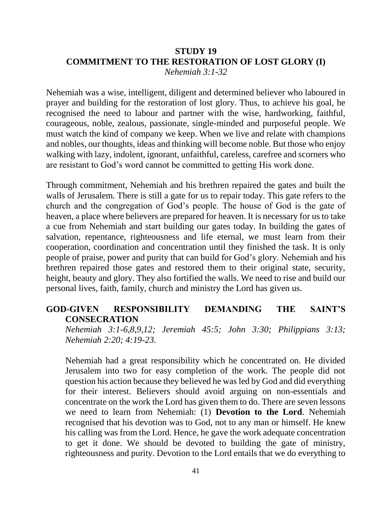#### **STUDY 19 COMMITMENT TO THE RESTORATION OF LOST GLORY (I)** *Nehemiah 3:1-32*

Nehemiah was a wise, intelligent, diligent and determined believer who laboured in prayer and building for the restoration of lost glory. Thus, to achieve his goal, he recognised the need to labour and partner with the wise, hardworking, faithful, courageous, noble, zealous, passionate, single-minded and purposeful people. We must watch the kind of company we keep. When we live and relate with champions and nobles, our thoughts, ideas and thinking will become noble. But those who enjoy walking with lazy, indolent, ignorant, unfaithful, careless, carefree and scorners who are resistant to God's word cannot be committed to getting His work done.

Through commitment, Nehemiah and his brethren repaired the gates and built the walls of Jerusalem. There is still a gate for us to repair today. This gate refers to the church and the congregation of God's people. The house of God is the gate of heaven, a place where believers are prepared for heaven. It is necessary for us to take a cue from Nehemiah and start building our gates today. In building the gates of salvation, repentance, righteousness and life eternal, we must learn from their cooperation, coordination and concentration until they finished the task. It is only people of praise, power and purity that can build for God's glory. Nehemiah and his brethren repaired those gates and restored them to their original state, security, height, beauty and glory. They also fortified the walls. We need to rise and build our personal lives, faith, family, church and ministry the Lord has given us.

### **GOD-GIVEN RESPONSIBILITY DEMANDING THE SAINT'S CONSECRATION**

*Nehemiah 3:1-6,8,9,12; Jeremiah 45:5; John 3:30; Philippians 3:13; Nehemiah 2:20; 4:19-23.*

Nehemiah had a great responsibility which he concentrated on. He divided Jerusalem into two for easy completion of the work. The people did not question his action because they believed he was led by God and did everything for their interest. Believers should avoid arguing on non-essentials and concentrate on the work the Lord has given them to do. There are seven lessons we need to learn from Nehemiah: (1) **Devotion to the Lord**. Nehemiah recognised that his devotion was to God, not to any man or himself. He knew his calling was from the Lord. Hence, he gave the work adequate concentration to get it done. We should be devoted to building the gate of ministry, righteousness and purity. Devotion to the Lord entails that we do everything to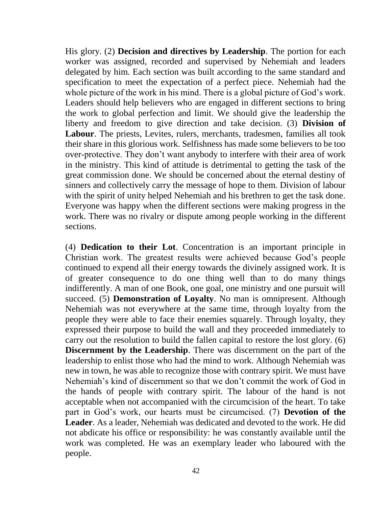His glory. (2) **Decision and directives by Leadership**. The portion for each worker was assigned, recorded and supervised by Nehemiah and leaders delegated by him. Each section was built according to the same standard and specification to meet the expectation of a perfect piece. Nehemiah had the whole picture of the work in his mind. There is a global picture of God's work. Leaders should help believers who are engaged in different sections to bring the work to global perfection and limit. We should give the leadership the liberty and freedom to give direction and take decision. (3) **Division of Labour**. The priests, Levites, rulers, merchants, tradesmen, families all took their share in this glorious work. Selfishness has made some believers to be too over-protective. They don't want anybody to interfere with their area of work in the ministry. This kind of attitude is detrimental to getting the task of the great commission done. We should be concerned about the eternal destiny of sinners and collectively carry the message of hope to them. Division of labour with the spirit of unity helped Nehemiah and his brethren to get the task done. Everyone was happy when the different sections were making progress in the work. There was no rivalry or dispute among people working in the different sections.

(4) **Dedication to their Lot**. Concentration is an important principle in Christian work. The greatest results were achieved because God's people continued to expend all their energy towards the divinely assigned work. It is of greater consequence to do one thing well than to do many things indifferently. A man of one Book, one goal, one ministry and one pursuit will succeed. (5) **Demonstration of Loyalty**. No man is omnipresent. Although Nehemiah was not everywhere at the same time, through loyalty from the people they were able to face their enemies squarely. Through loyalty, they expressed their purpose to build the wall and they proceeded immediately to carry out the resolution to build the fallen capital to restore the lost glory. (6) **Discernment by the Leadership**. There was discernment on the part of the leadership to enlist those who had the mind to work. Although Nehemiah was new in town, he was able to recognize those with contrary spirit. We must have Nehemiah's kind of discernment so that we don't commit the work of God in the hands of people with contrary spirit. The labour of the hand is not acceptable when not accompanied with the circumcision of the heart. To take part in God's work, our hearts must be circumcised. (7) **Devotion of the Leader**. As a leader, Nehemiah was dedicated and devoted to the work. He did not abdicate his office or responsibility: he was constantly available until the work was completed. He was an exemplary leader who laboured with the people.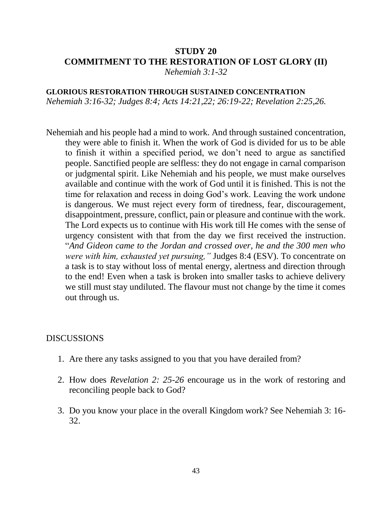# **STUDY 20 COMMITMENT TO THE RESTORATION OF LOST GLORY (II)**

*Nehemiah 3:1-32*

**GLORIOUS RESTORATION THROUGH SUSTAINED CONCENTRATION** *Nehemiah 3:16-32; Judges 8:4; Acts 14:21,22; 26:19-22; Revelation 2:25,26.*

Nehemiah and his people had a mind to work. And through sustained concentration, they were able to finish it. When the work of God is divided for us to be able to finish it within a specified period, we don't need to argue as sanctified people. Sanctified people are selfless: they do not engage in carnal comparison or judgmental spirit. Like Nehemiah and his people, we must make ourselves available and continue with the work of God until it is finished. This is not the time for relaxation and recess in doing God's work. Leaving the work undone is dangerous. We must reject every form of tiredness, fear, discouragement, disappointment, pressure, conflict, pain or pleasure and continue with the work. The Lord expects us to continue with His work till He comes with the sense of urgency consistent with that from the day we first received the instruction. "*And Gideon came to the Jordan and crossed over, he and the 300 men who were with him, exhausted yet pursuing,"* Judges 8:4 (ESV). To concentrate on a task is to stay without loss of mental energy, alertness and direction through to the end! Even when a task is broken into smaller tasks to achieve delivery we still must stay undiluted. The flavour must not change by the time it comes out through us.

- 1. Are there any tasks assigned to you that you have derailed from?
- 2. How does *Revelation 2: 25-26* encourage us in the work of restoring and reconciling people back to God?
- 3. Do you know your place in the overall Kingdom work? See Nehemiah 3: 16- 32.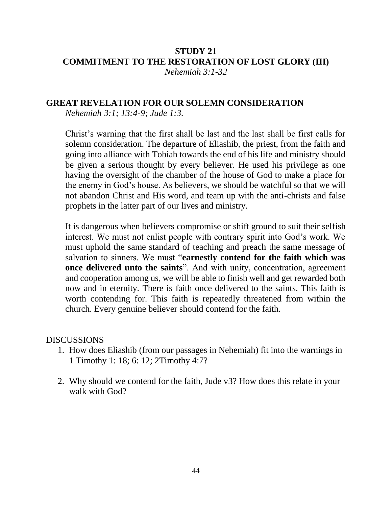#### **STUDY 21 COMMITMENT TO THE RESTORATION OF LOST GLORY (III)** *Nehemiah 3:1-32*

### **GREAT REVELATION FOR OUR SOLEMN CONSIDERATION**

*Nehemiah 3:1; 13:4-9; Jude 1:3.*

Christ's warning that the first shall be last and the last shall be first calls for solemn consideration. The departure of Eliashib, the priest, from the faith and going into alliance with Tobiah towards the end of his life and ministry should be given a serious thought by every believer. He used his privilege as one having the oversight of the chamber of the house of God to make a place for the enemy in God's house. As believers, we should be watchful so that we will not abandon Christ and His word, and team up with the anti-christs and false prophets in the latter part of our lives and ministry.

It is dangerous when believers compromise or shift ground to suit their selfish interest. We must not enlist people with contrary spirit into God's work. We must uphold the same standard of teaching and preach the same message of salvation to sinners. We must "**earnestly contend for the faith which was once delivered unto the saints**". And with unity, concentration, agreement and cooperation among us, we will be able to finish well and get rewarded both now and in eternity. There is faith once delivered to the saints. This faith is worth contending for. This faith is repeatedly threatened from within the church. Every genuine believer should contend for the faith.

- 1. How does Eliashib (from our passages in Nehemiah) fit into the warnings in 1 Timothy 1: 18; 6: 12; 2Timothy 4:7?
- 2. Why should we contend for the faith, Jude v3? How does this relate in your walk with God?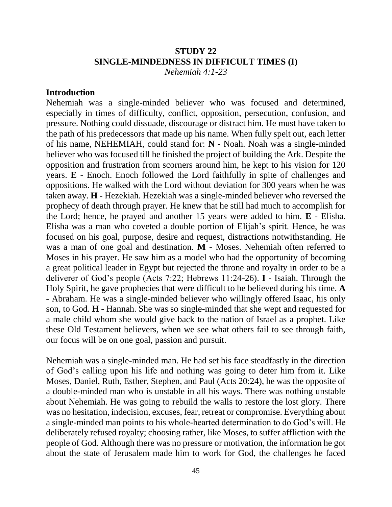## **STUDY 22 SINGLE-MINDEDNESS IN DIFFICULT TIMES (I)**

*Nehemiah 4:1-23*

#### **Introduction**

Nehemiah was a single-minded believer who was focused and determined, especially in times of difficulty, conflict, opposition, persecution, confusion, and pressure. Nothing could dissuade, discourage or distract him. He must have taken to the path of his predecessors that made up his name. When fully spelt out, each letter of his name, NEHEMIAH, could stand for: **N** - Noah. Noah was a single-minded believer who was focused till he finished the project of building the Ark. Despite the opposition and frustration from scorners around him, he kept to his vision for 120 years. **E** - Enoch. Enoch followed the Lord faithfully in spite of challenges and oppositions. He walked with the Lord without deviation for 300 years when he was taken away. **H** - Hezekiah. Hezekiah was a single-minded believer who reversed the prophecy of death through prayer. He knew that he still had much to accomplish for the Lord; hence, he prayed and another 15 years were added to him. **E** - Elisha. Elisha was a man who coveted a double portion of Elijah's spirit. Hence, he was focused on his goal, purpose, desire and request, distractions notwithstanding. He was a man of one goal and destination. **M** - Moses. Nehemiah often referred to Moses in his prayer. He saw him as a model who had the opportunity of becoming a great political leader in Egypt but rejected the throne and royalty in order to be a deliverer of God's people (Acts 7:22; Hebrews 11:24-26). **I** - Isaiah. Through the Holy Spirit, he gave prophecies that were difficult to be believed during his time. **A**  - Abraham. He was a single-minded believer who willingly offered Isaac, his only son, to God. **H** - Hannah. She was so single-minded that she wept and requested for a male child whom she would give back to the nation of Israel as a prophet. Like these Old Testament believers, when we see what others fail to see through faith, our focus will be on one goal, passion and pursuit.

Nehemiah was a single-minded man. He had set his face steadfastly in the direction of God's calling upon his life and nothing was going to deter him from it. Like Moses, Daniel, Ruth, Esther, Stephen, and Paul (Acts 20:24), he was the opposite of a double-minded man who is unstable in all his ways. There was nothing unstable about Nehemiah. He was going to rebuild the walls to restore the lost glory. There was no hesitation, indecision, excuses, fear, retreat or compromise. Everything about a single-minded man points to his whole-hearted determination to do God's will. He deliberately refused royalty; choosing rather, like Moses, to suffer affliction with the people of God. Although there was no pressure or motivation, the information he got about the state of Jerusalem made him to work for God, the challenges he faced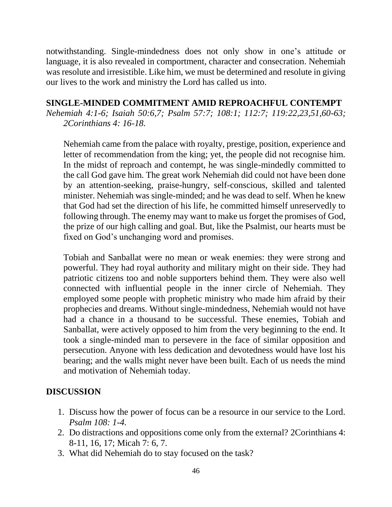notwithstanding. Single-mindedness does not only show in one's attitude or language, it is also revealed in comportment, character and consecration. Nehemiah was resolute and irresistible. Like him, we must be determined and resolute in giving our lives to the work and ministry the Lord has called us into.

### **SINGLE-MINDED COMMITMENT AMID REPROACHFUL CONTEMPT**

*Nehemiah 4:1-6; Isaiah 50:6,7; Psalm 57:7; 108:1; 112:7; 119:22,23,51,60-63; 2Corinthians 4: 16-18.*

Nehemiah came from the palace with royalty, prestige, position, experience and letter of recommendation from the king; yet, the people did not recognise him. In the midst of reproach and contempt, he was single-mindedly committed to the call God gave him. The great work Nehemiah did could not have been done by an attention-seeking, praise-hungry, self-conscious, skilled and talented minister. Nehemiah was single-minded; and he was dead to self. When he knew that God had set the direction of his life, he committed himself unreservedly to following through. The enemy may want to make us forget the promises of God, the prize of our high calling and goal. But, like the Psalmist, our hearts must be fixed on God's unchanging word and promises.

Tobiah and Sanballat were no mean or weak enemies: they were strong and powerful. They had royal authority and military might on their side. They had patriotic citizens too and noble supporters behind them. They were also well connected with influential people in the inner circle of Nehemiah. They employed some people with prophetic ministry who made him afraid by their prophecies and dreams. Without single-mindedness, Nehemiah would not have had a chance in a thousand to be successful. These enemies, Tobiah and Sanballat, were actively opposed to him from the very beginning to the end. It took a single-minded man to persevere in the face of similar opposition and persecution. Anyone with less dedication and devotedness would have lost his bearing; and the walls might never have been built. Each of us needs the mind and motivation of Nehemiah today.

- 1. Discuss how the power of focus can be a resource in our service to the Lord. *Psalm 108: 1-4.*
- 2. Do distractions and oppositions come only from the external? 2Corinthians 4: 8-11, 16, 17; Micah 7: 6, 7.
- 3. What did Nehemiah do to stay focused on the task?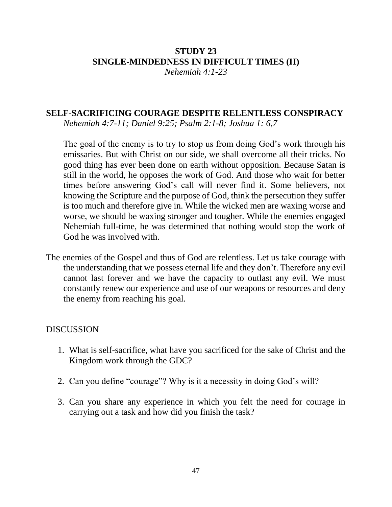# **STUDY 23 SINGLE-MINDEDNESS IN DIFFICULT TIMES (II)**

*Nehemiah 4:1-23*

### **SELF-SACRIFICING COURAGE DESPITE RELENTLESS CONSPIRACY**

*Nehemiah 4:7-11; Daniel 9:25; Psalm 2:1-8; Joshua 1: 6,7*

The goal of the enemy is to try to stop us from doing God's work through his emissaries. But with Christ on our side, we shall overcome all their tricks. No good thing has ever been done on earth without opposition. Because Satan is still in the world, he opposes the work of God. And those who wait for better times before answering God's call will never find it. Some believers, not knowing the Scripture and the purpose of God, think the persecution they suffer is too much and therefore give in. While the wicked men are waxing worse and worse, we should be waxing stronger and tougher. While the enemies engaged Nehemiah full-time, he was determined that nothing would stop the work of God he was involved with.

The enemies of the Gospel and thus of God are relentless. Let us take courage with the understanding that we possess eternal life and they don't. Therefore any evil cannot last forever and we have the capacity to outlast any evil. We must constantly renew our experience and use of our weapons or resources and deny the enemy from reaching his goal.

- 1. What is self-sacrifice, what have you sacrificed for the sake of Christ and the Kingdom work through the GDC?
- 2. Can you define "courage"? Why is it a necessity in doing God's will?
- 3. Can you share any experience in which you felt the need for courage in carrying out a task and how did you finish the task?